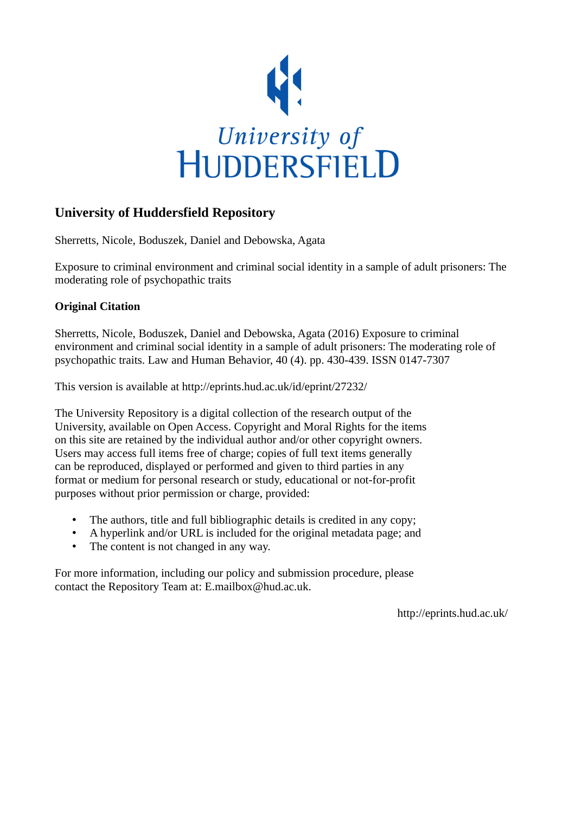

# **University of Huddersfield Repository**

Sherretts, Nicole, Boduszek, Daniel and Debowska, Agata

Exposure to criminal environment and criminal social identity in a sample of adult prisoners: The moderating role of psychopathic traits

# **Original Citation**

Sherretts, Nicole, Boduszek, Daniel and Debowska, Agata (2016) Exposure to criminal environment and criminal social identity in a sample of adult prisoners: The moderating role of psychopathic traits. Law and Human Behavior, 40 (4). pp. 430-439. ISSN 0147-7307

This version is available at http://eprints.hud.ac.uk/id/eprint/27232/

The University Repository is a digital collection of the research output of the University, available on Open Access. Copyright and Moral Rights for the items on this site are retained by the individual author and/or other copyright owners. Users may access full items free of charge; copies of full text items generally can be reproduced, displayed or performed and given to third parties in any format or medium for personal research or study, educational or not-for-profit purposes without prior permission or charge, provided:

- The authors, title and full bibliographic details is credited in any copy;
- A hyperlink and/or URL is included for the original metadata page; and
- The content is not changed in any way.

For more information, including our policy and submission procedure, please contact the Repository Team at: E.mailbox@hud.ac.uk.

http://eprints.hud.ac.uk/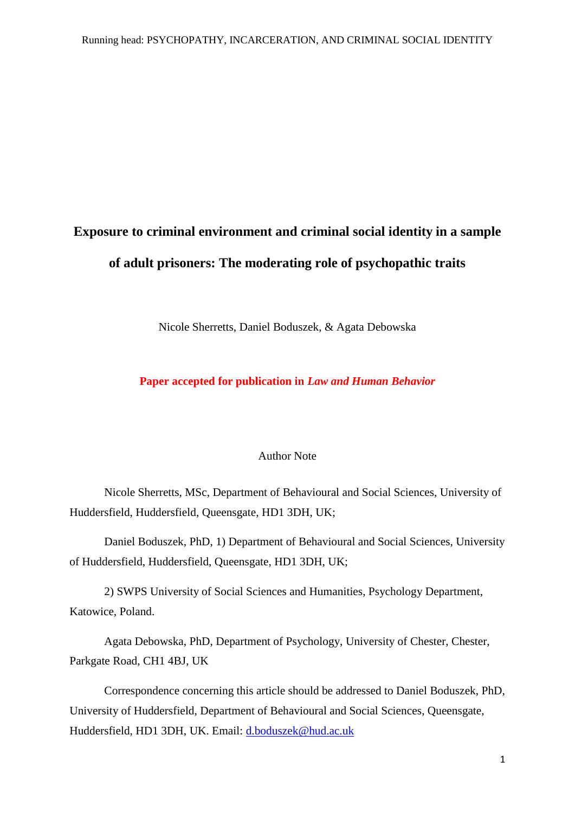# **Exposure to criminal environment and criminal social identity in a sample of adult prisoners: The moderating role of psychopathic traits**

Nicole Sherretts, Daniel Boduszek, & Agata Debowska

**Paper accepted for publication in** *Law and Human Behavior*

#### Author Note

Nicole Sherretts, MSc, Department of Behavioural and Social Sciences, University of Huddersfield, Huddersfield, Queensgate, HD1 3DH, UK;

Daniel Boduszek, PhD, 1) Department of Behavioural and Social Sciences, University of Huddersfield, Huddersfield, Queensgate, HD1 3DH, UK;

2) SWPS University of Social Sciences and Humanities, Psychology Department, Katowice, Poland.

Agata Debowska, PhD, Department of Psychology, University of Chester, Chester, Parkgate Road, CH1 4BJ, UK

Correspondence concerning this article should be addressed to Daniel Boduszek, PhD, University of Huddersfield, Department of Behavioural and Social Sciences, Queensgate, Huddersfield, HD1 3DH, UK. Email: [d.boduszek@hud.ac.uk](mailto:d.boduszek@hud.ac.uk)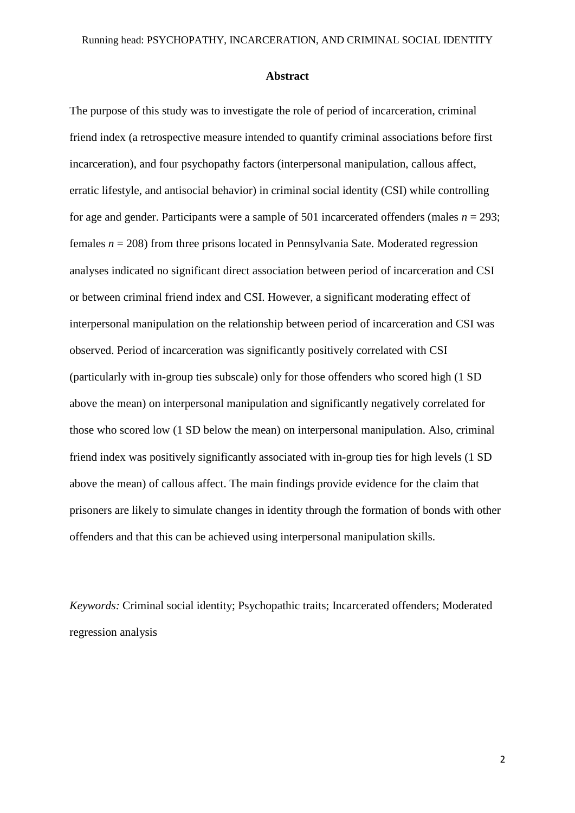#### **Abstract**

The purpose of this study was to investigate the role of period of incarceration, criminal friend index (a retrospective measure intended to quantify criminal associations before first incarceration), and four psychopathy factors (interpersonal manipulation, callous affect, erratic lifestyle, and antisocial behavior) in criminal social identity (CSI) while controlling for age and gender. Participants were a sample of 501 incarcerated offenders (males  $n = 293$ ; females *n* = 208) from three prisons located in Pennsylvania Sate. Moderated regression analyses indicated no significant direct association between period of incarceration and CSI or between criminal friend index and CSI. However, a significant moderating effect of interpersonal manipulation on the relationship between period of incarceration and CSI was observed. Period of incarceration was significantly positively correlated with CSI (particularly with in-group ties subscale) only for those offenders who scored high (1 SD above the mean) on interpersonal manipulation and significantly negatively correlated for those who scored low (1 SD below the mean) on interpersonal manipulation. Also, criminal friend index was positively significantly associated with in-group ties for high levels (1 SD above the mean) of callous affect. The main findings provide evidence for the claim that prisoners are likely to simulate changes in identity through the formation of bonds with other offenders and that this can be achieved using interpersonal manipulation skills.

*Keywords:* Criminal social identity; Psychopathic traits; Incarcerated offenders; Moderated regression analysis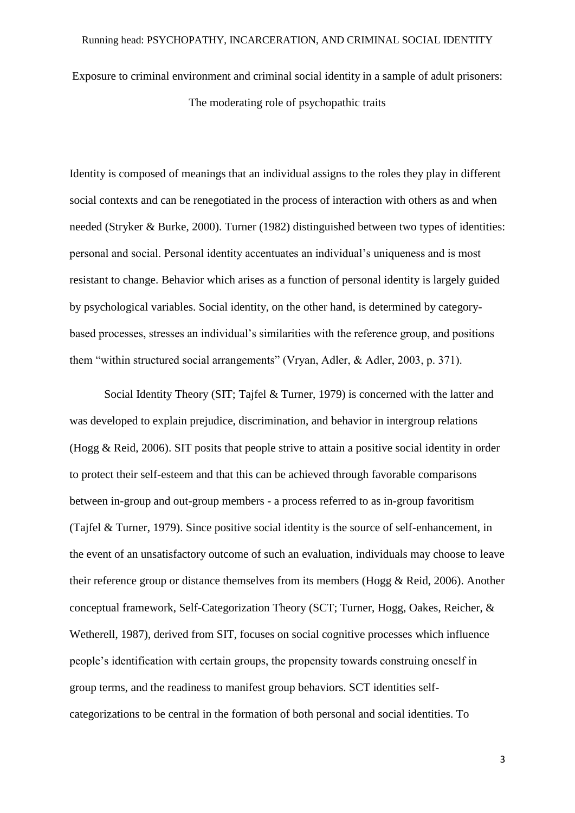Exposure to criminal environment and criminal social identity in a sample of adult prisoners: The moderating role of psychopathic traits

Identity is composed of meanings that an individual assigns to the roles they play in different social contexts and can be renegotiated in the process of interaction with others as and when needed (Stryker & Burke, 2000). Turner (1982) distinguished between two types of identities: personal and social. Personal identity accentuates an individual's uniqueness and is most resistant to change. Behavior which arises as a function of personal identity is largely guided by psychological variables. Social identity, on the other hand, is determined by categorybased processes, stresses an individual's similarities with the reference group, and positions them "within structured social arrangements" (Vryan, Adler, & Adler, 2003, p. 371).

Social Identity Theory (SIT; Tajfel & Turner, 1979) is concerned with the latter and was developed to explain prejudice, discrimination, and behavior in intergroup relations (Hogg & Reid, 2006). SIT posits that people strive to attain a positive social identity in order to protect their self-esteem and that this can be achieved through favorable comparisons between in-group and out-group members - a process referred to as in-group favoritism (Tajfel & Turner, 1979). Since positive social identity is the source of self-enhancement, in the event of an unsatisfactory outcome of such an evaluation, individuals may choose to leave their reference group or distance themselves from its members (Hogg & Reid, 2006). Another conceptual framework, Self-Categorization Theory (SCT; Turner, Hogg, Oakes, Reicher, & Wetherell, 1987), derived from SIT, focuses on social cognitive processes which influence people's identification with certain groups, the propensity towards construing oneself in group terms, and the readiness to manifest group behaviors. SCT identities selfcategorizations to be central in the formation of both personal and social identities. To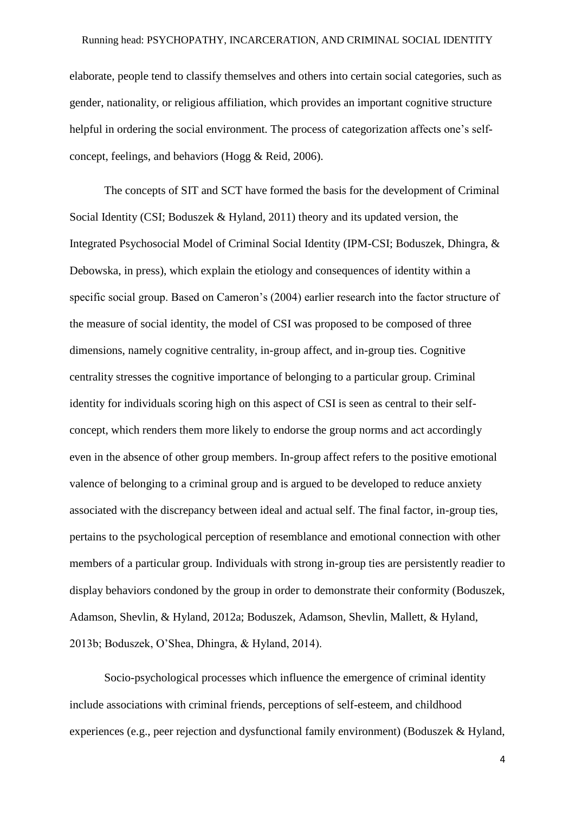#### Running head: PSYCHOPATHY, INCARCERATION, AND CRIMINAL SOCIAL IDENTITY

elaborate, people tend to classify themselves and others into certain social categories, such as gender, nationality, or religious affiliation, which provides an important cognitive structure helpful in ordering the social environment. The process of categorization affects one's selfconcept, feelings, and behaviors (Hogg & Reid, 2006).

The concepts of SIT and SCT have formed the basis for the development of Criminal Social Identity (CSI; Boduszek & Hyland, 2011) theory and its updated version, the Integrated Psychosocial Model of Criminal Social Identity (IPM-CSI; Boduszek, Dhingra, & Debowska, in press), which explain the etiology and consequences of identity within a specific social group. Based on Cameron's (2004) earlier research into the factor structure of the measure of social identity, the model of CSI was proposed to be composed of three dimensions, namely cognitive centrality, in-group affect, and in-group ties. Cognitive centrality stresses the cognitive importance of belonging to a particular group. Criminal identity for individuals scoring high on this aspect of CSI is seen as central to their selfconcept, which renders them more likely to endorse the group norms and act accordingly even in the absence of other group members. In-group affect refers to the positive emotional valence of belonging to a criminal group and is argued to be developed to reduce anxiety associated with the discrepancy between ideal and actual self. The final factor, in-group ties, pertains to the psychological perception of resemblance and emotional connection with other members of a particular group. Individuals with strong in-group ties are persistently readier to display behaviors condoned by the group in order to demonstrate their conformity (Boduszek, Adamson, Shevlin, & Hyland, 2012a; Boduszek, Adamson, Shevlin, Mallett, & Hyland, 2013b; Boduszek, O'Shea, Dhingra, & Hyland, 2014).

Socio-psychological processes which influence the emergence of criminal identity include associations with criminal friends, perceptions of self-esteem, and childhood experiences (e.g., peer rejection and dysfunctional family environment) (Boduszek & Hyland,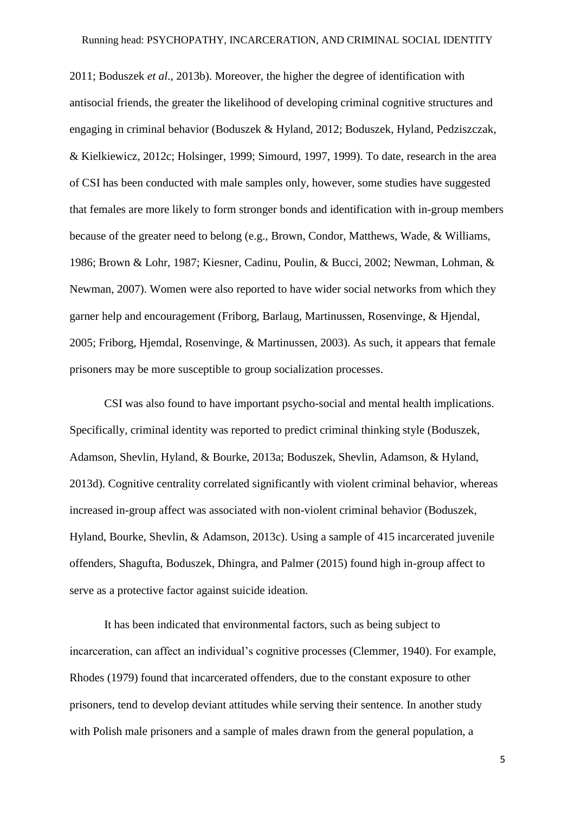2011; Boduszek *et al*., 2013b). Moreover, the higher the degree of identification with antisocial friends, the greater the likelihood of developing criminal cognitive structures and engaging in criminal behavior (Boduszek & Hyland, 2012; Boduszek, Hyland, Pedziszczak, & Kielkiewicz, 2012c; Holsinger, 1999; Simourd, 1997, 1999). To date, research in the area of CSI has been conducted with male samples only, however, some studies have suggested that females are more likely to form stronger bonds and identification with in-group members because of the greater need to belong (e.g., Brown, Condor, Matthews, Wade, & Williams, 1986; Brown & Lohr, 1987; Kiesner, Cadinu, Poulin, & Bucci, 2002; Newman, Lohman, & Newman, 2007). Women were also reported to have wider social networks from which they garner help and encouragement (Friborg, Barlaug, Martinussen, Rosenvinge, & Hjendal, 2005; Friborg, Hjemdal, Rosenvinge, & Martinussen, 2003). As such, it appears that female prisoners may be more susceptible to group socialization processes.

CSI was also found to have important psycho-social and mental health implications. Specifically, criminal identity was reported to predict criminal thinking style (Boduszek, Adamson, Shevlin, Hyland, & Bourke, 2013a; Boduszek, Shevlin, Adamson, & Hyland, 2013d). Cognitive centrality correlated significantly with violent criminal behavior, whereas increased in-group affect was associated with non-violent criminal behavior (Boduszek, Hyland, Bourke, Shevlin, & Adamson, 2013c). Using a sample of 415 incarcerated juvenile offenders, Shagufta, Boduszek, Dhingra, and Palmer (2015) found high in-group affect to serve as a protective factor against suicide ideation.

It has been indicated that environmental factors, such as being subject to incarceration, can affect an individual's cognitive processes (Clemmer, 1940). For example, Rhodes (1979) found that incarcerated offenders, due to the constant exposure to other prisoners, tend to develop deviant attitudes while serving their sentence. In another study with Polish male prisoners and a sample of males drawn from the general population, a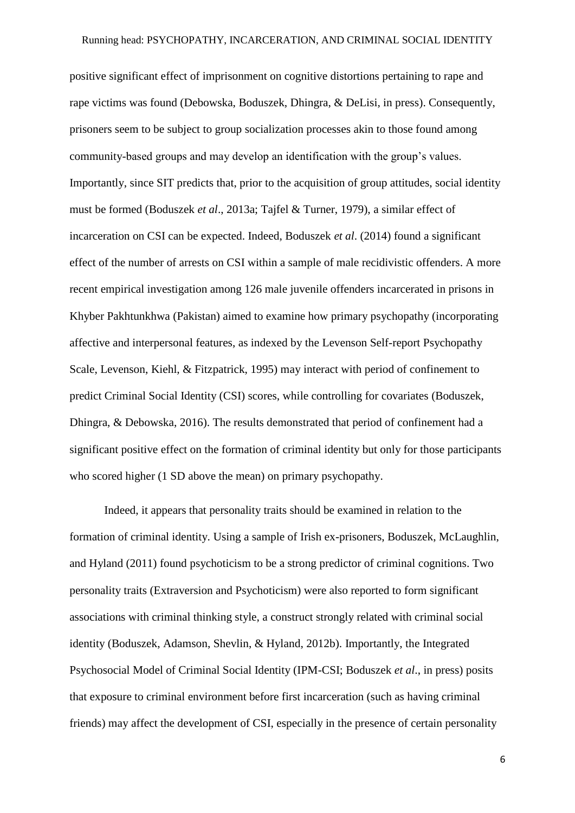positive significant effect of imprisonment on cognitive distortions pertaining to rape and rape victims was found (Debowska, Boduszek, Dhingra, & DeLisi, in press). Consequently, prisoners seem to be subject to group socialization processes akin to those found among community-based groups and may develop an identification with the group's values. Importantly, since SIT predicts that, prior to the acquisition of group attitudes, social identity must be formed (Boduszek *et al*., 2013a; Tajfel & Turner, 1979), a similar effect of incarceration on CSI can be expected. Indeed, Boduszek *et al*. (2014) found a significant effect of the number of arrests on CSI within a sample of male recidivistic offenders. A more recent empirical investigation among 126 male juvenile offenders incarcerated in prisons in Khyber Pakhtunkhwa (Pakistan) aimed to examine how primary psychopathy (incorporating affective and interpersonal features, as indexed by the Levenson Self-report Psychopathy Scale, Levenson, Kiehl, & Fitzpatrick, 1995) may interact with period of confinement to predict Criminal Social Identity (CSI) scores, while controlling for covariates (Boduszek, Dhingra, & Debowska, 2016). The results demonstrated that period of confinement had a significant positive effect on the formation of criminal identity but only for those participants who scored higher (1 SD above the mean) on primary psychopathy.

Indeed, it appears that personality traits should be examined in relation to the formation of criminal identity. Using a sample of Irish ex-prisoners, Boduszek, McLaughlin, and Hyland (2011) found psychoticism to be a strong predictor of criminal cognitions. Two personality traits (Extraversion and Psychoticism) were also reported to form significant associations with criminal thinking style, a construct strongly related with criminal social identity (Boduszek, Adamson, Shevlin, & Hyland, 2012b). Importantly, the Integrated Psychosocial Model of Criminal Social Identity (IPM-CSI; Boduszek *et al*., in press) posits that exposure to criminal environment before first incarceration (such as having criminal friends) may affect the development of CSI, especially in the presence of certain personality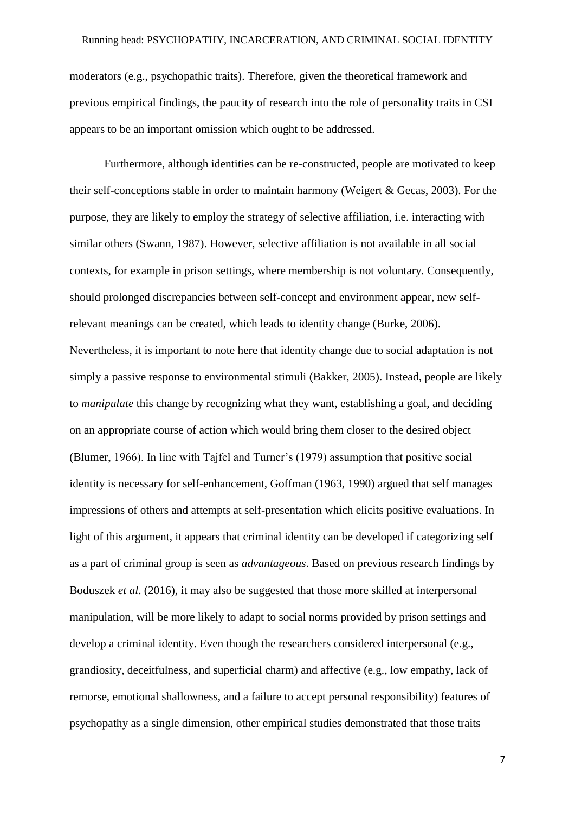#### Running head: PSYCHOPATHY, INCARCERATION, AND CRIMINAL SOCIAL IDENTITY

moderators (e.g., psychopathic traits). Therefore, given the theoretical framework and previous empirical findings, the paucity of research into the role of personality traits in CSI appears to be an important omission which ought to be addressed.

Furthermore, although identities can be re-constructed, people are motivated to keep their self-conceptions stable in order to maintain harmony (Weigert & Gecas, 2003). For the purpose, they are likely to employ the strategy of selective affiliation, i.e. interacting with similar others (Swann, 1987). However, selective affiliation is not available in all social contexts, for example in prison settings, where membership is not voluntary. Consequently, should prolonged discrepancies between self-concept and environment appear, new selfrelevant meanings can be created, which leads to identity change (Burke, 2006). Nevertheless, it is important to note here that identity change due to social adaptation is not simply a passive response to environmental stimuli (Bakker, 2005). Instead, people are likely to *manipulate* this change by recognizing what they want, establishing a goal, and deciding on an appropriate course of action which would bring them closer to the desired object (Blumer, 1966). In line with Tajfel and Turner's (1979) assumption that positive social identity is necessary for self-enhancement, Goffman (1963, 1990) argued that self manages impressions of others and attempts at self-presentation which elicits positive evaluations. In light of this argument, it appears that criminal identity can be developed if categorizing self as a part of criminal group is seen as *advantageous*. Based on previous research findings by Boduszek *et al*. (2016), it may also be suggested that those more skilled at interpersonal manipulation, will be more likely to adapt to social norms provided by prison settings and develop a criminal identity. Even though the researchers considered interpersonal (e.g., grandiosity, deceitfulness, and superficial charm) and affective (e.g., low empathy, lack of remorse, emotional shallowness, and a failure to accept personal responsibility) features of psychopathy as a single dimension, other empirical studies demonstrated that those traits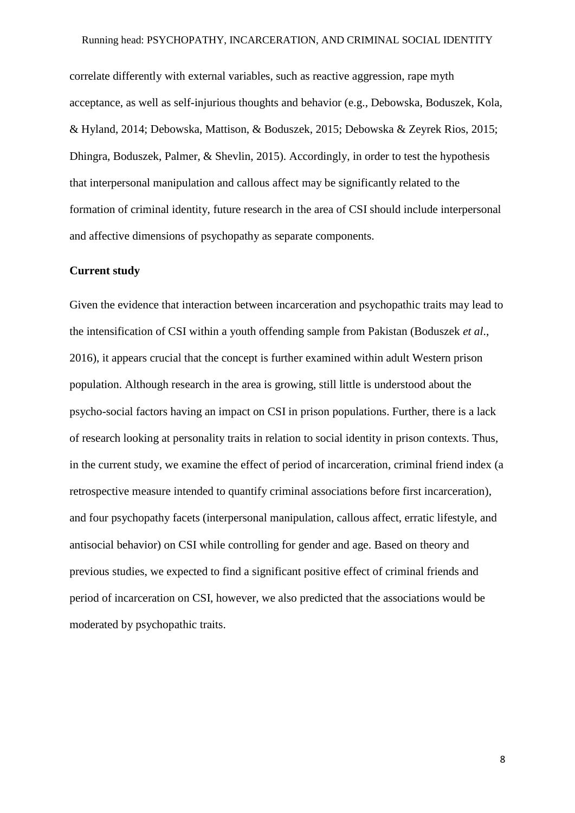#### Running head: PSYCHOPATHY, INCARCERATION, AND CRIMINAL SOCIAL IDENTITY

correlate differently with external variables, such as reactive aggression, rape myth acceptance, as well as self-injurious thoughts and behavior (e.g., Debowska, Boduszek, Kola, & Hyland, 2014; Debowska, Mattison, & Boduszek, 2015; Debowska & Zeyrek Rios, 2015; Dhingra, Boduszek, Palmer, & Shevlin, 2015). Accordingly, in order to test the hypothesis that interpersonal manipulation and callous affect may be significantly related to the formation of criminal identity, future research in the area of CSI should include interpersonal and affective dimensions of psychopathy as separate components.

### **Current study**

Given the evidence that interaction between incarceration and psychopathic traits may lead to the intensification of CSI within a youth offending sample from Pakistan (Boduszek *et al*., 2016), it appears crucial that the concept is further examined within adult Western prison population. Although research in the area is growing, still little is understood about the psycho-social factors having an impact on CSI in prison populations. Further, there is a lack of research looking at personality traits in relation to social identity in prison contexts. Thus, in the current study, we examine the effect of period of incarceration, criminal friend index (a retrospective measure intended to quantify criminal associations before first incarceration), and four psychopathy facets (interpersonal manipulation, callous affect, erratic lifestyle, and antisocial behavior) on CSI while controlling for gender and age. Based on theory and previous studies, we expected to find a significant positive effect of criminal friends and period of incarceration on CSI, however, we also predicted that the associations would be moderated by psychopathic traits.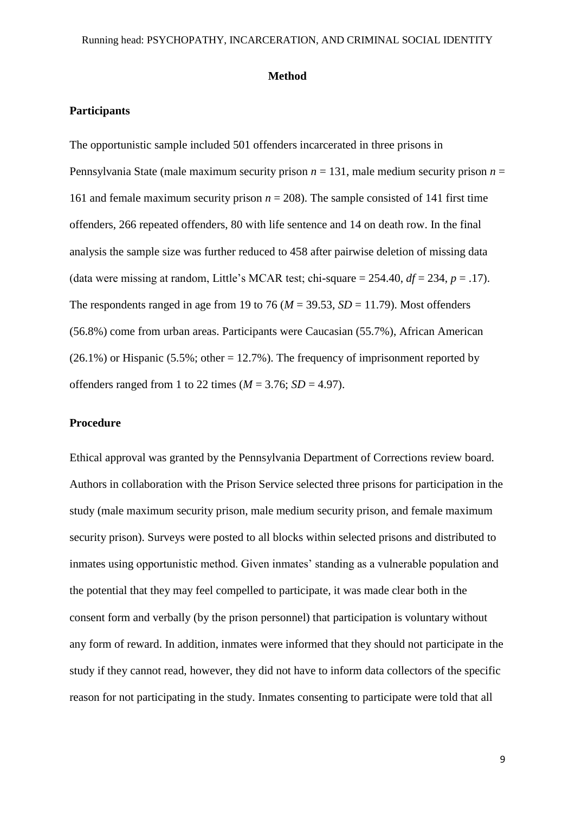#### **Method**

## **Participants**

The opportunistic sample included 501 offenders incarcerated in three prisons in Pennsylvania State (male maximum security prison  $n = 131$ , male medium security prison  $n =$ 161 and female maximum security prison  $n = 208$ ). The sample consisted of 141 first time offenders, 266 repeated offenders, 80 with life sentence and 14 on death row. In the final analysis the sample size was further reduced to 458 after pairwise deletion of missing data (data were missing at random, Little's MCAR test; chi-square  $= 254.40$ ,  $df = 234$ ,  $p = .17$ ). The respondents ranged in age from 19 to 76 ( $M = 39.53$ ,  $SD = 11.79$ ). Most offenders (56.8%) come from urban areas. Participants were Caucasian (55.7%), African American  $(26.1\%)$  or Hispanic  $(5.5\%;$  other = 12.7%). The frequency of imprisonment reported by offenders ranged from 1 to 22 times  $(M = 3.76; SD = 4.97)$ .

## **Procedure**

Ethical approval was granted by the Pennsylvania Department of Corrections review board. Authors in collaboration with the Prison Service selected three prisons for participation in the study (male maximum security prison, male medium security prison, and female maximum security prison). Surveys were posted to all blocks within selected prisons and distributed to inmates using opportunistic method. Given inmates' standing as a vulnerable population and the potential that they may feel compelled to participate, it was made clear both in the consent form and verbally (by the prison personnel) that participation is voluntary without any form of reward. In addition, inmates were informed that they should not participate in the study if they cannot read, however, they did not have to inform data collectors of the specific reason for not participating in the study. Inmates consenting to participate were told that all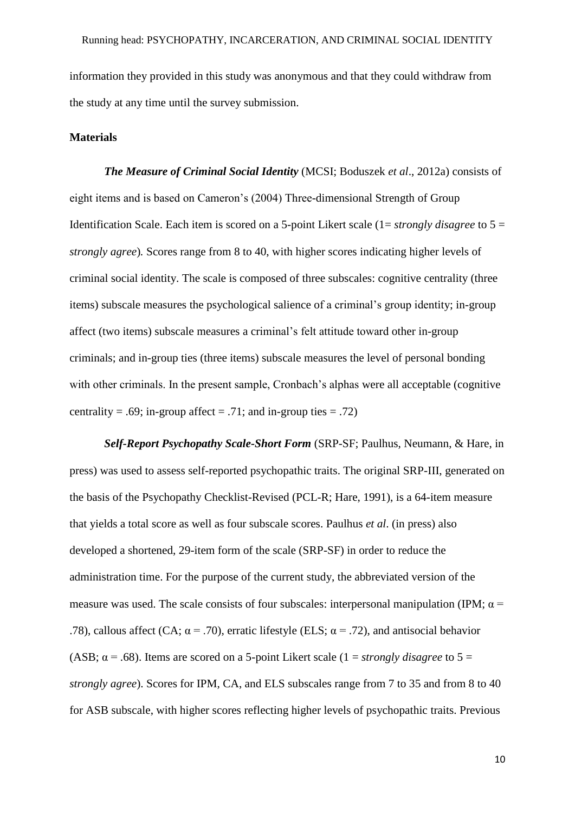information they provided in this study was anonymous and that they could withdraw from the study at any time until the survey submission.

#### **Materials**

*The Measure of Criminal Social Identity* (MCSI; Boduszek *et al*., 2012a) consists of eight items and is based on Cameron's (2004) Three-dimensional Strength of Group Identification Scale. Each item is scored on a 5-point Likert scale (1= *strongly disagree* to 5 = *strongly agree*)*.* Scores range from 8 to 40, with higher scores indicating higher levels of criminal social identity. The scale is composed of three subscales: cognitive centrality (three items) subscale measures the psychological salience of a criminal's group identity; in-group affect (two items) subscale measures a criminal's felt attitude toward other in-group criminals; and in-group ties (three items) subscale measures the level of personal bonding with other criminals. In the present sample, Cronbach's alphas were all acceptable (cognitive centrality = .69; in-group affect = .71; and in-group ties = .72)

*Self-Report Psychopathy Scale-Short Form* (SRP-SF; Paulhus, Neumann, & Hare, in press) was used to assess self-reported psychopathic traits. The original SRP-III, generated on the basis of the Psychopathy Checklist-Revised (PCL-R; Hare, 1991), is a 64-item measure that yields a total score as well as four subscale scores. Paulhus *et al*. (in press) also developed a shortened, 29-item form of the scale (SRP-SF) in order to reduce the administration time. For the purpose of the current study, the abbreviated version of the measure was used. The scale consists of four subscales: interpersonal manipulation (IPM;  $\alpha$  = .78), callous affect (CA;  $\alpha$  = .70), erratic lifestyle (ELS;  $\alpha$  = .72), and antisocial behavior (ASB;  $\alpha$  = .68). Items are scored on a 5-point Likert scale (1 = *strongly disagree* to 5 = *strongly agree*). Scores for IPM, CA, and ELS subscales range from 7 to 35 and from 8 to 40 for ASB subscale, with higher scores reflecting higher levels of psychopathic traits. Previous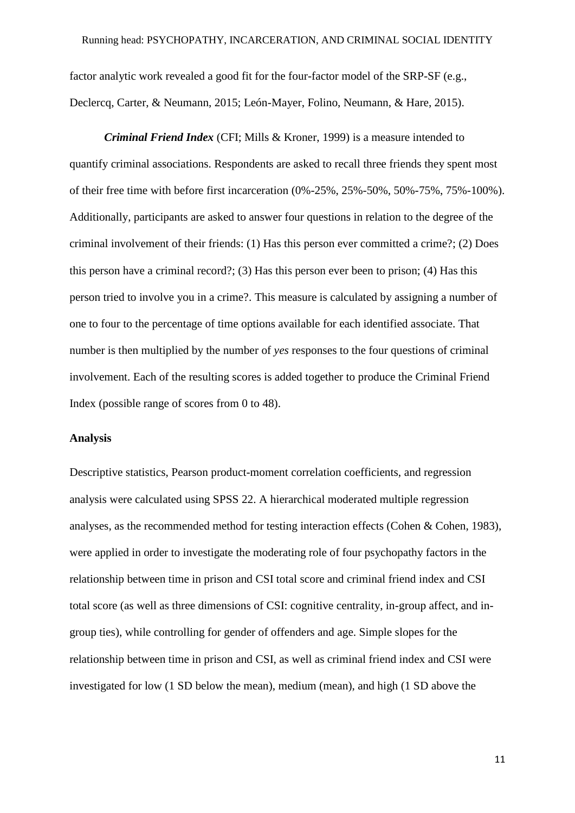factor analytic work revealed a good fit for the four-factor model of the SRP-SF (e.g., Declercq, Carter, & Neumann, 2015; León-Mayer, Folino, Neumann, & Hare, 2015).

*Criminal Friend Index* (CFI; Mills & Kroner, 1999) is a measure intended to quantify criminal associations. Respondents are asked to recall three friends they spent most of their free time with before first incarceration (0%-25%, 25%-50%, 50%-75%, 75%-100%). Additionally, participants are asked to answer four questions in relation to the degree of the criminal involvement of their friends: (1) Has this person ever committed a crime?; (2) Does this person have a criminal record?; (3) Has this person ever been to prison; (4) Has this person tried to involve you in a crime?. This measure is calculated by assigning a number of one to four to the percentage of time options available for each identified associate. That number is then multiplied by the number of *yes* responses to the four questions of criminal involvement. Each of the resulting scores is added together to produce the Criminal Friend Index (possible range of scores from 0 to 48).

#### **Analysis**

Descriptive statistics, Pearson product-moment correlation coefficients, and regression analysis were calculated using SPSS 22. A hierarchical moderated multiple regression analyses, as the recommended method for testing interaction effects (Cohen & Cohen, 1983), were applied in order to investigate the moderating role of four psychopathy factors in the relationship between time in prison and CSI total score and criminal friend index and CSI total score (as well as three dimensions of CSI: cognitive centrality, in-group affect, and ingroup ties), while controlling for gender of offenders and age. Simple slopes for the relationship between time in prison and CSI, as well as criminal friend index and CSI were investigated for low (1 SD below the mean), medium (mean), and high (1 SD above the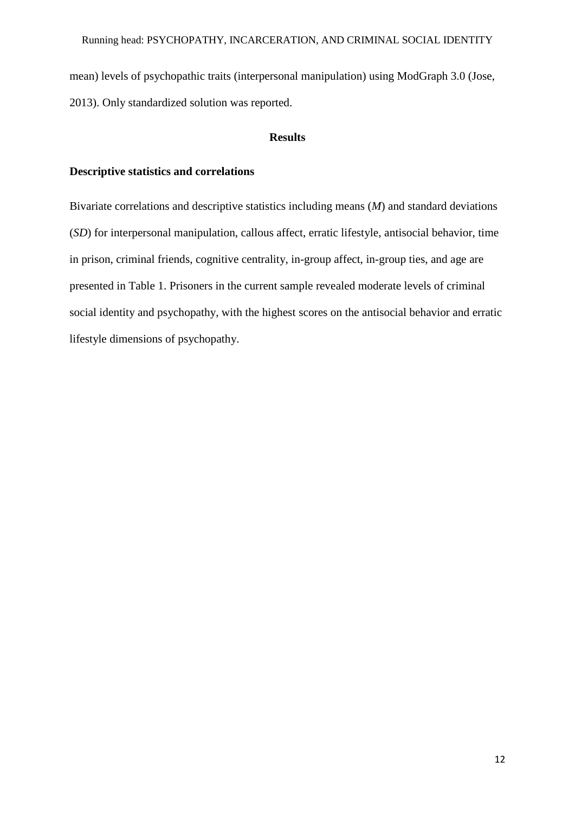mean) levels of psychopathic traits (interpersonal manipulation) using ModGraph 3.0 (Jose, 2013). Only standardized solution was reported.

## **Results**

## **Descriptive statistics and correlations**

Bivariate correlations and descriptive statistics including means (*M*) and standard deviations (*SD*) for interpersonal manipulation, callous affect, erratic lifestyle, antisocial behavior, time in prison, criminal friends, cognitive centrality, in-group affect, in-group ties, and age are presented in Table 1. Prisoners in the current sample revealed moderate levels of criminal social identity and psychopathy, with the highest scores on the antisocial behavior and erratic lifestyle dimensions of psychopathy.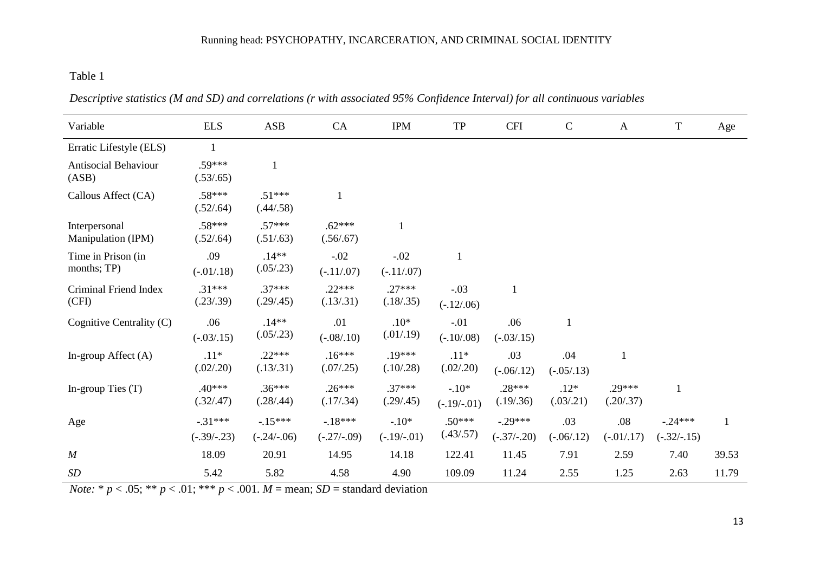# Running head: PSYCHOPATHY, INCARCERATION, AND CRIMINAL SOCIAL IDENTITY

# Table 1

 $\overline{a}$ 

| Variable                             | <b>ELS</b>                 | ASB                       | CA                        | <b>IPM</b>               | ${\rm TP}$               | <b>CFI</b>                 | $\mathbf C$          | $\mathbf{A}$          | $\mathbf T$                | Age          |
|--------------------------------------|----------------------------|---------------------------|---------------------------|--------------------------|--------------------------|----------------------------|----------------------|-----------------------|----------------------------|--------------|
| Erratic Lifestyle (ELS)              |                            |                           |                           |                          |                          |                            |                      |                       |                            |              |
| <b>Antisocial Behaviour</b><br>(ASB) | .59***<br>(.53/.65)        |                           |                           |                          |                          |                            |                      |                       |                            |              |
| Callous Affect (CA)                  | $.58***$<br>(.52/.64)      | $.51***$<br>(.44/.58)     |                           |                          |                          |                            |                      |                       |                            |              |
| Interpersonal<br>Manipulation (IPM)  | $.58***$<br>(.52/.64)      | $.57***$<br>(.51/.63)     | $.62***$<br>(.56/.67)     | $\mathbf{1}$             |                          |                            |                      |                       |                            |              |
| Time in Prison (in<br>months; TP)    | .09<br>$(-.01/.18)$        | $.14**$<br>(.05/.23)      | $-.02$<br>$(-.11/07)$     | $-.02$<br>$(-.11/07)$    |                          |                            |                      |                       |                            |              |
| Criminal Friend Index<br>(CFI)       | $.31***$<br>(.23/.39)      | $.37***$<br>(.29/.45)     | $.22***$<br>(.13/.31)     | $.27***$<br>(.18/.35)    | $-.03$<br>$(-.12/06)$    |                            |                      |                       |                            |              |
| Cognitive Centrality (C)             | .06<br>$(-0.03/0.15)$      | $.14**$<br>(.05/.23)      | .01<br>$(-.08/.10)$       | $.10*$<br>(.01/.19)      | $-.01$<br>$(-.10/0.08)$  | .06<br>$(-.03/.15)$        |                      |                       |                            |              |
| In-group Affect $(A)$                | $.11*$<br>(.02/.20)        | $.22***$<br>(.13/.31)     | $.16***$<br>(.07/.25)     | $.19***$<br>(.10/.28)    | $.11*$<br>(.02/.20)      | .03<br>$(-.06/.12)$        | .04<br>$(-.05/.13)$  |                       |                            |              |
| In-group Ties $(T)$                  | $.40***$<br>(.32/.47)      | $.36***$<br>(.28/.44)     | $.26***$<br>(.17/.34)     | $.37***$<br>(.29/.45)    | $-.10*$<br>$(-.19/-.01)$ | $.28***$<br>(.19/.36)      | $.12*$<br>(.03/.21)  | $.29***$<br>(.20/.37) | 1                          |              |
| Age                                  | $-.31***$<br>$(-.39/-.23)$ | $-15***$<br>$(-.24/-.06)$ | $-18***$<br>$(-.27/-.09)$ | $-.10*$<br>$(-.19/-.01)$ | $.50***$<br>(.43/.57)    | $-.29***$<br>$(-.37/-.20)$ | .03<br>$(-.06/0.12)$ | .08<br>$(-.01/.17)$   | $-.24***$<br>$(-.32/-.15)$ | $\mathbf{1}$ |
| $\boldsymbol{M}$                     | 18.09                      | 20.91                     | 14.95                     | 14.18                    | 122.41                   | 11.45                      | 7.91                 | 2.59                  | 7.40                       | 39.53        |
| SD                                   | 5.42                       | 5.82                      | 4.58                      | 4.90                     | 109.09                   | 11.24                      | 2.55                 | 1.25                  | 2.63                       | 11.79        |

*Descriptive statistics (M and SD) and correlations (r with associated 95% Confidence Interval) for all continuous variables* 

*Note:* \*  $p < .05$ ; \*\*  $p < .01$ ; \*\*\*  $p < .001$ .  $M =$  mean; *SD* = standard deviation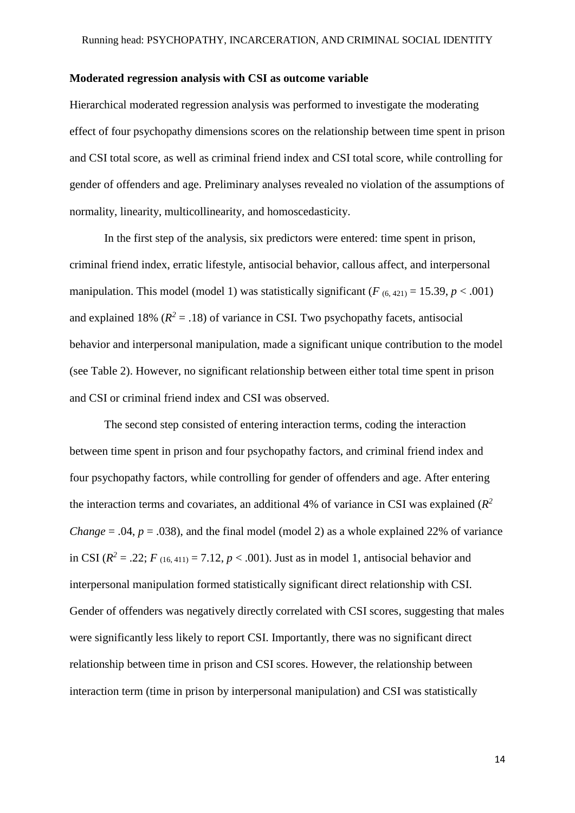#### **Moderated regression analysis with CSI as outcome variable**

Hierarchical moderated regression analysis was performed to investigate the moderating effect of four psychopathy dimensions scores on the relationship between time spent in prison and CSI total score, as well as criminal friend index and CSI total score, while controlling for gender of offenders and age. Preliminary analyses revealed no violation of the assumptions of normality, linearity, multicollinearity, and homoscedasticity.

In the first step of the analysis, six predictors were entered: time spent in prison, criminal friend index, erratic lifestyle, antisocial behavior, callous affect, and interpersonal manipulation. This model (model 1) was statistically significant ( $F_{(6, 421)} = 15.39, p < .001$ ) and explained 18%  $(R^2 = .18)$  of variance in CSI. Two psychopathy facets, antisocial behavior and interpersonal manipulation, made a significant unique contribution to the model (see Table 2). However, no significant relationship between either total time spent in prison and CSI or criminal friend index and CSI was observed.

The second step consisted of entering interaction terms, coding the interaction between time spent in prison and four psychopathy factors, and criminal friend index and four psychopathy factors, while controlling for gender of offenders and age. After entering the interaction terms and covariates, an additional 4% of variance in CSI was explained  $(R^2)$ *Change* = .04,  $p = .038$ ), and the final model (model 2) as a whole explained 22% of variance in CSI ( $R^2 = .22$ ;  $F_{(16, 411)} = 7.12$ ,  $p < .001$ ). Just as in model 1, antisocial behavior and interpersonal manipulation formed statistically significant direct relationship with CSI. Gender of offenders was negatively directly correlated with CSI scores, suggesting that males were significantly less likely to report CSI. Importantly, there was no significant direct relationship between time in prison and CSI scores. However, the relationship between interaction term (time in prison by interpersonal manipulation) and CSI was statistically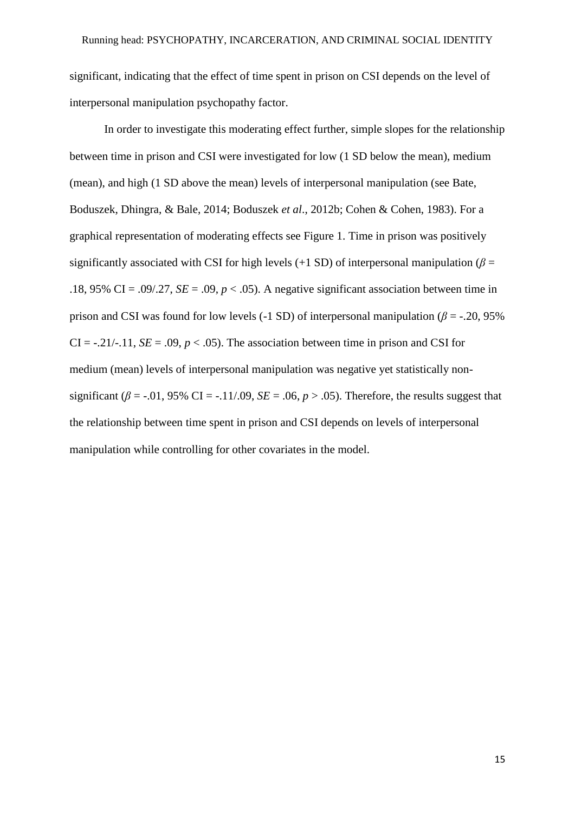significant, indicating that the effect of time spent in prison on CSI depends on the level of interpersonal manipulation psychopathy factor.

In order to investigate this moderating effect further, simple slopes for the relationship between time in prison and CSI were investigated for low (1 SD below the mean), medium (mean), and high (1 SD above the mean) levels of interpersonal manipulation (see Bate, Boduszek, Dhingra, & Bale, 2014; Boduszek *et al*., 2012b; Cohen & Cohen, 1983). For a graphical representation of moderating effects see Figure 1. Time in prison was positively significantly associated with CSI for high levels (+1 SD) of interpersonal manipulation ( $\beta$  = .18, 95% CI = .09/.27,  $SE = .09$ ,  $p < .05$ ). A negative significant association between time in prison and CSI was found for low levels (-1 SD) of interpersonal manipulation ( $\beta$  = -.20, 95%) CI =  $-0.21/-11$ , *SE* =  $0.09$ ,  $p < 0.05$ ). The association between time in prison and CSI for medium (mean) levels of interpersonal manipulation was negative yet statistically nonsignificant ( $\beta$  = -.01, 95% CI = -.11/.09, *SE* = .06,  $p > .05$ ). Therefore, the results suggest that the relationship between time spent in prison and CSI depends on levels of interpersonal manipulation while controlling for other covariates in the model.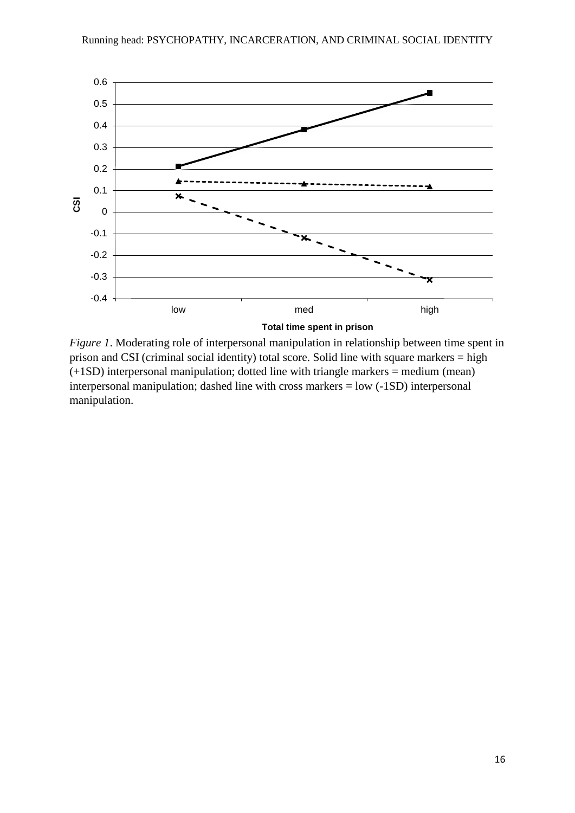

*Figure 1*. Moderating role of interpersonal manipulation in relationship between time spent in prison and CSI (criminal social identity) total score. Solid line with square markers = high (+1SD) interpersonal manipulation; dotted line with triangle markers = medium (mean) interpersonal manipulation; dashed line with cross markers = low (-1SD) interpersonal manipulation.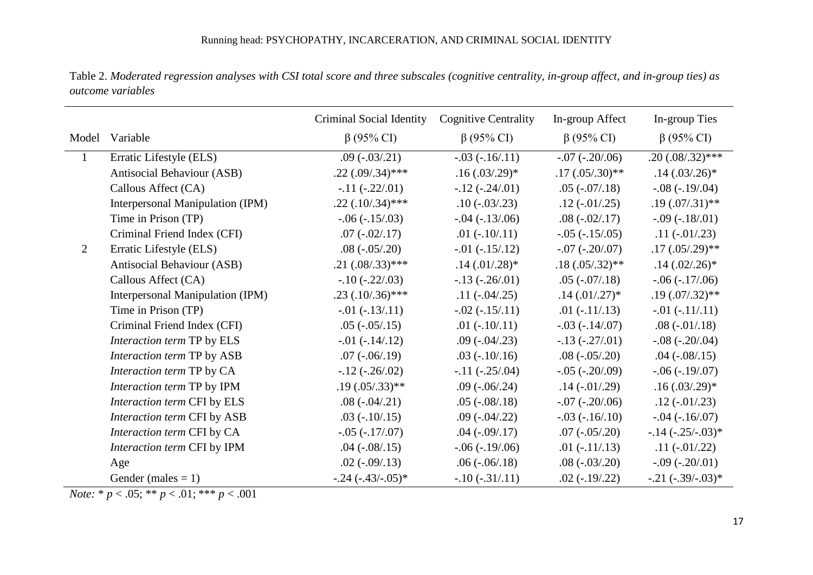|                |                                  | Criminal Social Identity | <b>Cognitive Centrality</b> | In-group Affect       | In-group Ties           |
|----------------|----------------------------------|--------------------------|-----------------------------|-----------------------|-------------------------|
|                | Model Variable                   | $\beta$ (95% CI)         | $\beta$ (95% CI)            | $\beta$ (95% CI)      | $\beta$ (95% CI)        |
| $\mathbf{1}$   | Erratic Lifestyle (ELS)          | $.09(-03/0.21)$          | $-.03 (-16/11)$             | $-.07 (-.20/06)$      | $.20(.08/.32)$ ***      |
|                | Antisocial Behaviour (ASB)       | $.22(.09/0.34)$ ***      | $.16(.03/.29)*$             | $.17(.05/.30)**$      | $.14(.03/.26)*$         |
|                | Callous Affect (CA)              | $-.11 (-.22/.01)$        | $-.12$ ( $-.24/.01$ )       | $.05(-07/0.18)$       | $-.08 (-19/04)$         |
|                | Interpersonal Manipulation (IPM) | $.22$ $(.10/0.34)$ ***   | $.10(-03/0.23)$             | $.12(-.01/0.25)$      | $.19 \,(.07/0.31)^{**}$ |
|                | Time in Prison (TP)              | $-.06(-.15/03)$          | $-.04 (-13/06)$             | $.08(-02/0.17)$       | $-.09(-.18/.01)$        |
|                | Criminal Friend Index (CFI)      | $.07(-.02/.17)$          | $.01(-.10/.11)$             | $-.05 (-15/05)$       | $.11(-.01/0.23)$        |
| $\overline{2}$ | Erratic Lifestyle (ELS)          | $.08(-0.05/0.20)$        | $-.01 (-15/12)$             | $-.07 (-.20/07)$      | $.17(.05/.29)$ **       |
|                | Antisocial Behaviour (ASB)       | $.21(.08/.33)****$       | $.14(.01/.28)*$             | $.18(.05/.32)**$      | $.14(.02/.26)*$         |
|                | Callous Affect (CA)              | $-.10(-.22/.03)$         | $-.13(-.26/.01)$            | $.05(-07/0.18)$       | $-.06 (-17/06)$         |
|                | Interpersonal Manipulation (IPM) | $.23(.10/.36)$ ***       | $.11(-.04/0.25)$            | $.14(.01/.27)$ *      | $.19 \,(.07/.32)**$     |
|                | Time in Prison (TP)              | $-0.01 (-13/0.11)$       | $-.02 (-15/0.11)$           | $.01(-.11/.13)$       | $-0.01 (-11/0.11)$      |
|                | Criminal Friend Index (CFI)      | $.05(-0.05/0.15)$        | $.01(-.10/.11)$             | $-.03 (-14/07)$       | $.08(-01/0.18)$         |
|                | Interaction term TP by ELS       | $-0.01 (-14/0.12)$       | $.09(-04/0.23)$             | $-.13(-.27/.01)$      | $-.08 (-.20).04)$       |
|                | Interaction term TP by ASB       | $.07$ ( $-.06/0.19$ )    | $.03$ ( $-.10/0.16$ )       | $.08(-0.05/0.20)$     | $.04 (-.08/0.15)$       |
|                | Interaction term TP by CA        | $-.12$ ( $-.26/.02$ )    | $-.11 (-.25/.04)$           | $-.05 (-.20/0.09)$    | $-.06 (-19/07)$         |
|                | Interaction term TP by IPM       | $.19 \,(.05/0.33)**$     | $.09$ ( $-.06/0.24$ )       | $.14$ ( $-.01/0.29$ ) | $.16(.03/.29)*$         |
|                | Interaction term CFI by ELS      | $.08(-04/0.21)$          | $.05$ ( $-.08/0.18$ )       | $-.07 (-.20/06)$      | $.12(-.01/.23)$         |
|                | Interaction term CFI by ASB      | $.03$ ( $-.10/0.15$ )    | $.09$ ( $-.04/0.22$ )       | $-.03 (-16/10)$       | $-.04 (-16/07)$         |
|                | Interaction term CFI by CA       | $-.05 (-17/07)$          | $.04$ ( $-.09/0.17$ )       | $.07(-0.05/0.20)$     | $-.14$ ( $-.25/-.03$ )* |
|                | Interaction term CFI by IPM      | $.04 (-.08/0.15)$        | $-.06(-.19/06)$             | $.01(-.11/.13)$       | $.11(-.01/.22)$         |
|                | Age                              | $.02$ ( $-.09/0.13$ )    | $.06(-06/0.18)$             | $.08(-03/0.20)$       | $-.09 (-.20/01)$        |
|                | Gender (males $= 1$ )            | $-.24$ ( $-.43/-.05$ )*  | $-.10(-.31/.11)$            | $.02(-.19/.22)$       | $-.21$ $(-.39/-.03)*$   |

Table 2. *Moderated regression analyses with CSI total score and three subscales (cognitive centrality, in-group affect, and in-group ties) as outcome variables*

*Note:*  $* p < .05$ ;  $** p < .01$ ;  $*** p < .001$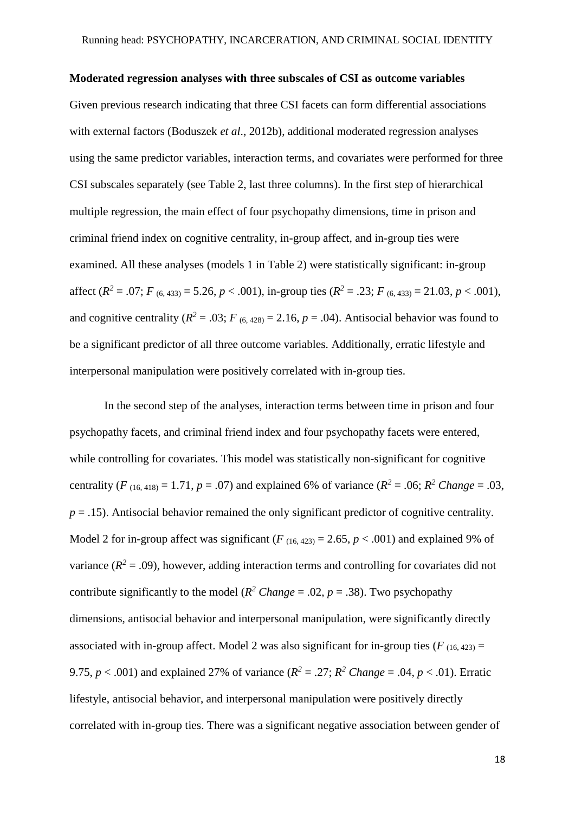#### **Moderated regression analyses with three subscales of CSI as outcome variables**

Given previous research indicating that three CSI facets can form differential associations with external factors (Boduszek *et al*., 2012b), additional moderated regression analyses using the same predictor variables, interaction terms, and covariates were performed for three CSI subscales separately (see Table 2, last three columns). In the first step of hierarchical multiple regression, the main effect of four psychopathy dimensions, time in prison and criminal friend index on cognitive centrality, in-group affect, and in-group ties were examined. All these analyses (models 1 in Table 2) were statistically significant: in-group affect  $(R^2 = .07; F_{(6,433)} = 5.26, p < .001)$ , in-group ties  $(R^2 = .23; F_{(6,433)} = 21.03, p < .001)$ , and cognitive centrality ( $R^2 = .03$ ;  $F_{(6, 428)} = 2.16$ ,  $p = .04$ ). Antisocial behavior was found to be a significant predictor of all three outcome variables. Additionally, erratic lifestyle and interpersonal manipulation were positively correlated with in-group ties.

In the second step of the analyses, interaction terms between time in prison and four psychopathy facets, and criminal friend index and four psychopathy facets were entered, while controlling for covariates. This model was statistically non-significant for cognitive centrality (*F* (16, 418) = 1.71, *p* = .07) and explained 6% of variance ( $R^2 = .06$ ;  $R^2$  *Change* = .03,  $p = .15$ ). Antisocial behavior remained the only significant predictor of cognitive centrality. Model 2 for in-group affect was significant  $(F_{(16, 423)} = 2.65, p < .001)$  and explained 9% of variance  $(R^2 = .09)$ , however, adding interaction terms and controlling for covariates did not contribute significantly to the model ( $R^2$  *Change* = .02,  $p = .38$ ). Two psychopathy dimensions, antisocial behavior and interpersonal manipulation, were significantly directly associated with in-group affect. Model 2 was also significant for in-group ties  $(F_{(16, 423)} =$ 9.75,  $p < .001$ ) and explained 27% of variance ( $R^2 = .27$ ;  $R^2$  *Change* = .04,  $p < .01$ ). Erratic lifestyle, antisocial behavior, and interpersonal manipulation were positively directly correlated with in-group ties. There was a significant negative association between gender of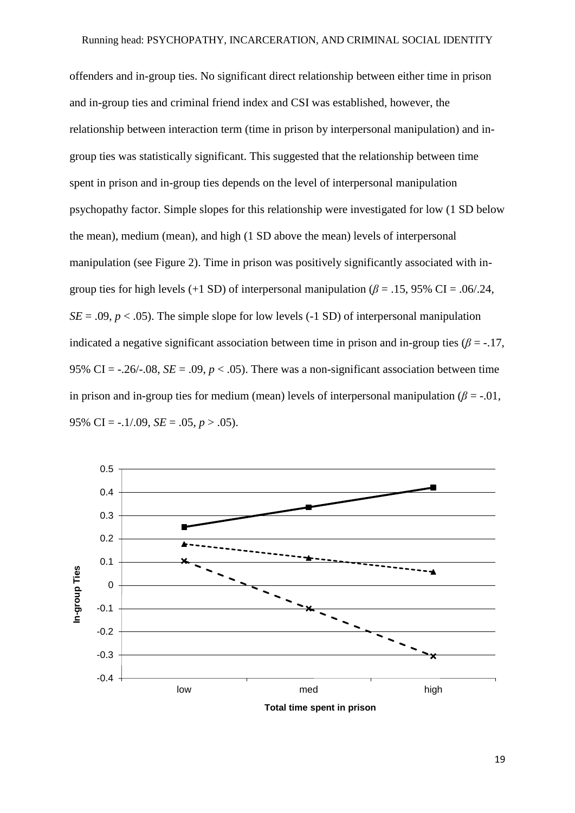offenders and in-group ties. No significant direct relationship between either time in prison and in-group ties and criminal friend index and CSI was established, however, the relationship between interaction term (time in prison by interpersonal manipulation) and ingroup ties was statistically significant. This suggested that the relationship between time spent in prison and in-group ties depends on the level of interpersonal manipulation psychopathy factor. Simple slopes for this relationship were investigated for low (1 SD below the mean), medium (mean), and high (1 SD above the mean) levels of interpersonal manipulation (see Figure 2). Time in prison was positively significantly associated with ingroup ties for high levels (+1 SD) of interpersonal manipulation ( $\beta$  = .15, 95% CI = .06/.24,  $SE = .09$ ,  $p < .05$ ). The simple slope for low levels (-1 SD) of interpersonal manipulation indicated a negative significant association between time in prison and in-group ties ( $\beta$  = -.17, 95% CI =  $-.26/-08$ , *SE* =  $.09$ , *p* <  $.05$ ). There was a non-significant association between time in prison and in-group ties for medium (mean) levels of interpersonal manipulation ( $\beta$  = -.01, 95% CI =  $-.1/0.09$ , *SE* =  $.05$ , *p* >  $.05$ ).



**Total time spent in prison**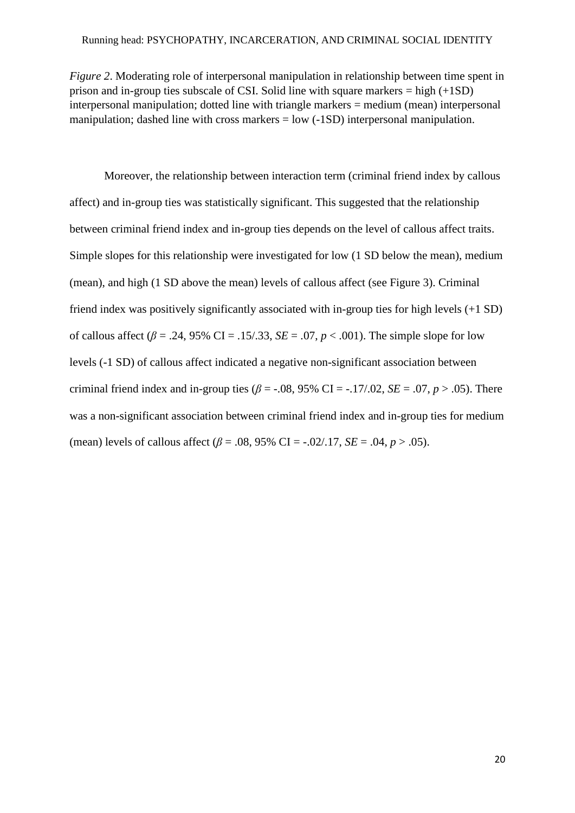*Figure 2*. Moderating role of interpersonal manipulation in relationship between time spent in prison and in-group ties subscale of CSI. Solid line with square markers  $=$  high  $(+1SD)$ interpersonal manipulation; dotted line with triangle markers = medium (mean) interpersonal manipulation; dashed line with cross markers = low (-1SD) interpersonal manipulation.

Moreover, the relationship between interaction term (criminal friend index by callous affect) and in-group ties was statistically significant. This suggested that the relationship between criminal friend index and in-group ties depends on the level of callous affect traits. Simple slopes for this relationship were investigated for low (1 SD below the mean), medium (mean), and high (1 SD above the mean) levels of callous affect (see Figure 3). Criminal friend index was positively significantly associated with in-group ties for high levels (+1 SD) of callous affect ( $\beta$  = .24, 95% CI = .15/.33, *SE* = .07,  $p < .001$ ). The simple slope for low levels (-1 SD) of callous affect indicated a negative non-significant association between criminal friend index and in-group ties ( $\beta$  = -.08, 95% CI = -.17/.02, *SE* = .07, *p* > .05). There was a non-significant association between criminal friend index and in-group ties for medium (mean) levels of callous affect  $(\beta = .08, 95\% \text{ CI} = -.02/.17, SE = .04, p > .05)$ .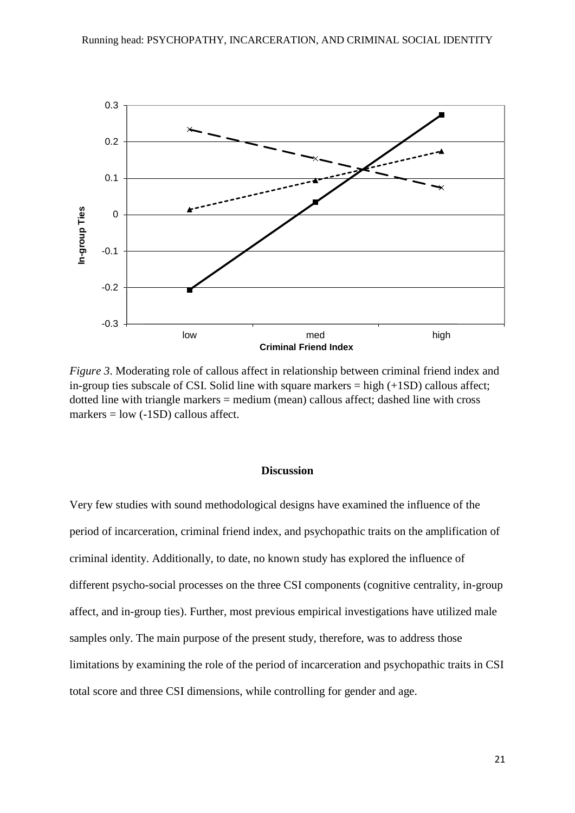

*Figure 3*. Moderating role of callous affect in relationship between criminal friend index and in-group ties subscale of CSI. Solid line with square markers  $=$  high  $(+1SD)$  callous affect; dotted line with triangle markers = medium (mean) callous affect; dashed line with cross markers  $=$  low  $(-1SD)$  callous affect.

# **Discussion**

Very few studies with sound methodological designs have examined the influence of the period of incarceration, criminal friend index, and psychopathic traits on the amplification of criminal identity. Additionally, to date, no known study has explored the influence of different psycho-social processes on the three CSI components (cognitive centrality, in-group affect, and in-group ties). Further, most previous empirical investigations have utilized male samples only. The main purpose of the present study, therefore, was to address those limitations by examining the role of the period of incarceration and psychopathic traits in CSI total score and three CSI dimensions, while controlling for gender and age.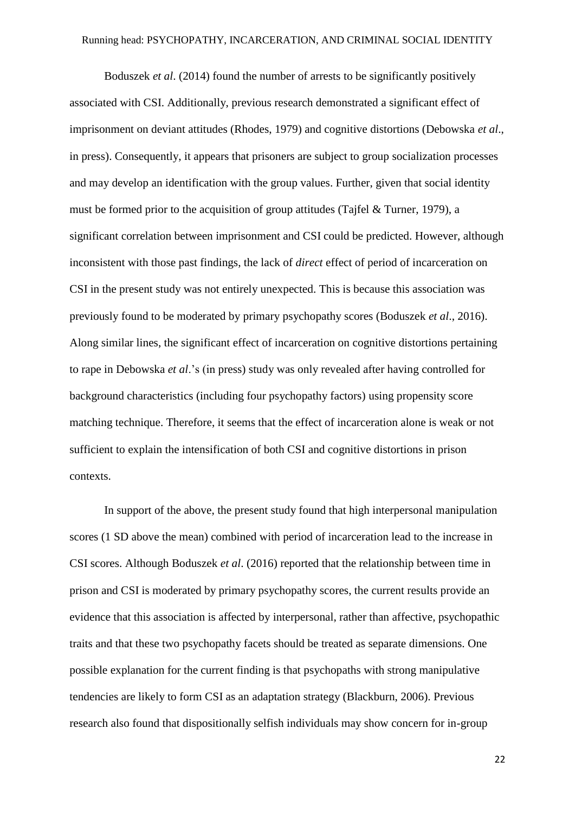Boduszek *et al*. (2014) found the number of arrests to be significantly positively associated with CSI. Additionally, previous research demonstrated a significant effect of imprisonment on deviant attitudes (Rhodes, 1979) and cognitive distortions (Debowska *et al*., in press). Consequently, it appears that prisoners are subject to group socialization processes and may develop an identification with the group values. Further, given that social identity must be formed prior to the acquisition of group attitudes (Tajfel & Turner, 1979), a significant correlation between imprisonment and CSI could be predicted. However, although inconsistent with those past findings, the lack of *direct* effect of period of incarceration on CSI in the present study was not entirely unexpected. This is because this association was previously found to be moderated by primary psychopathy scores (Boduszek *et al*., 2016). Along similar lines, the significant effect of incarceration on cognitive distortions pertaining to rape in Debowska *et al*.'s (in press) study was only revealed after having controlled for background characteristics (including four psychopathy factors) using propensity score matching technique. Therefore, it seems that the effect of incarceration alone is weak or not sufficient to explain the intensification of both CSI and cognitive distortions in prison contexts.

In support of the above, the present study found that high interpersonal manipulation scores (1 SD above the mean) combined with period of incarceration lead to the increase in CSI scores. Although Boduszek *et al*. (2016) reported that the relationship between time in prison and CSI is moderated by primary psychopathy scores, the current results provide an evidence that this association is affected by interpersonal, rather than affective, psychopathic traits and that these two psychopathy facets should be treated as separate dimensions. One possible explanation for the current finding is that psychopaths with strong manipulative tendencies are likely to form CSI as an adaptation strategy (Blackburn, 2006). Previous research also found that dispositionally selfish individuals may show concern for in-group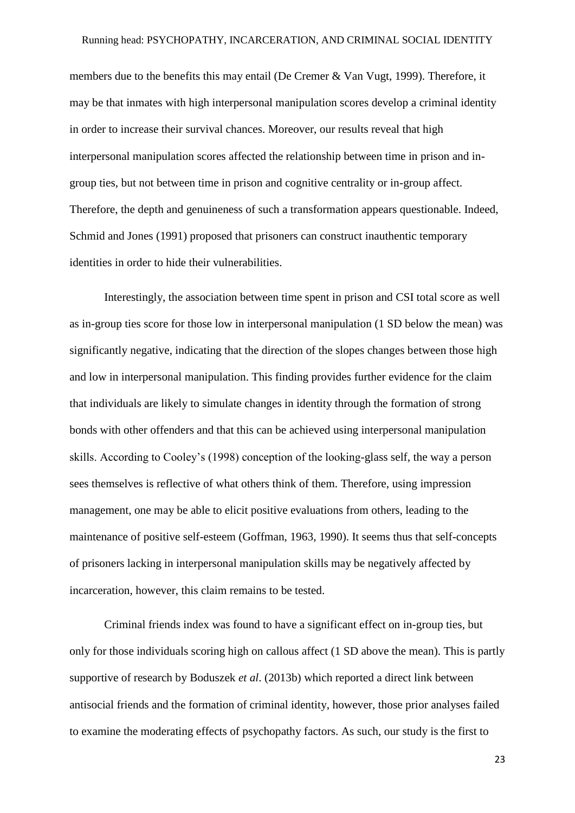members due to the benefits this may entail (De Cremer & Van Vugt, 1999). Therefore, it may be that inmates with high interpersonal manipulation scores develop a criminal identity in order to increase their survival chances. Moreover, our results reveal that high interpersonal manipulation scores affected the relationship between time in prison and ingroup ties, but not between time in prison and cognitive centrality or in-group affect. Therefore, the depth and genuineness of such a transformation appears questionable. Indeed, Schmid and Jones (1991) proposed that prisoners can construct inauthentic temporary identities in order to hide their vulnerabilities.

Interestingly, the association between time spent in prison and CSI total score as well as in-group ties score for those low in interpersonal manipulation (1 SD below the mean) was significantly negative, indicating that the direction of the slopes changes between those high and low in interpersonal manipulation. This finding provides further evidence for the claim that individuals are likely to simulate changes in identity through the formation of strong bonds with other offenders and that this can be achieved using interpersonal manipulation skills. According to Cooley's (1998) conception of the looking-glass self, the way a person sees themselves is reflective of what others think of them. Therefore, using impression management, one may be able to elicit positive evaluations from others, leading to the maintenance of positive self-esteem (Goffman, 1963, 1990). It seems thus that self-concepts of prisoners lacking in interpersonal manipulation skills may be negatively affected by incarceration, however, this claim remains to be tested.

Criminal friends index was found to have a significant effect on in-group ties, but only for those individuals scoring high on callous affect (1 SD above the mean). This is partly supportive of research by Boduszek *et al*. (2013b) which reported a direct link between antisocial friends and the formation of criminal identity, however, those prior analyses failed to examine the moderating effects of psychopathy factors. As such, our study is the first to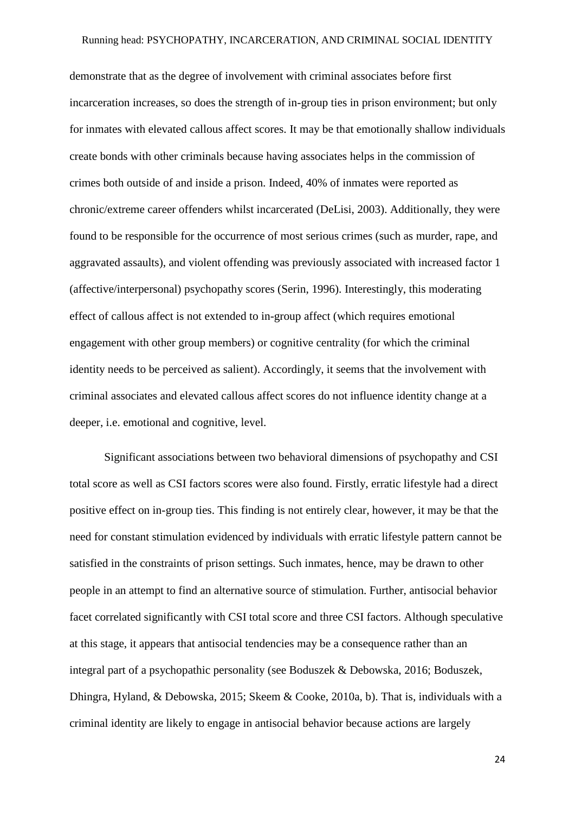#### Running head: PSYCHOPATHY, INCARCERATION, AND CRIMINAL SOCIAL IDENTITY

demonstrate that as the degree of involvement with criminal associates before first incarceration increases, so does the strength of in-group ties in prison environment; but only for inmates with elevated callous affect scores. It may be that emotionally shallow individuals create bonds with other criminals because having associates helps in the commission of crimes both outside of and inside a prison. Indeed, 40% of inmates were reported as chronic/extreme career offenders whilst incarcerated (DeLisi, 2003). Additionally, they were found to be responsible for the occurrence of most serious crimes (such as murder, rape, and aggravated assaults), and violent offending was previously associated with increased factor 1 (affective/interpersonal) psychopathy scores (Serin, 1996). Interestingly, this moderating effect of callous affect is not extended to in-group affect (which requires emotional engagement with other group members) or cognitive centrality (for which the criminal identity needs to be perceived as salient). Accordingly, it seems that the involvement with criminal associates and elevated callous affect scores do not influence identity change at a deeper, i.e. emotional and cognitive, level.

Significant associations between two behavioral dimensions of psychopathy and CSI total score as well as CSI factors scores were also found. Firstly, erratic lifestyle had a direct positive effect on in-group ties. This finding is not entirely clear, however, it may be that the need for constant stimulation evidenced by individuals with erratic lifestyle pattern cannot be satisfied in the constraints of prison settings. Such inmates, hence, may be drawn to other people in an attempt to find an alternative source of stimulation. Further, antisocial behavior facet correlated significantly with CSI total score and three CSI factors. Although speculative at this stage, it appears that antisocial tendencies may be a consequence rather than an integral part of a psychopathic personality (see Boduszek & Debowska, 2016; Boduszek, Dhingra, Hyland, & Debowska, 2015; Skeem & Cooke, 2010a, b). That is, individuals with a criminal identity are likely to engage in antisocial behavior because actions are largely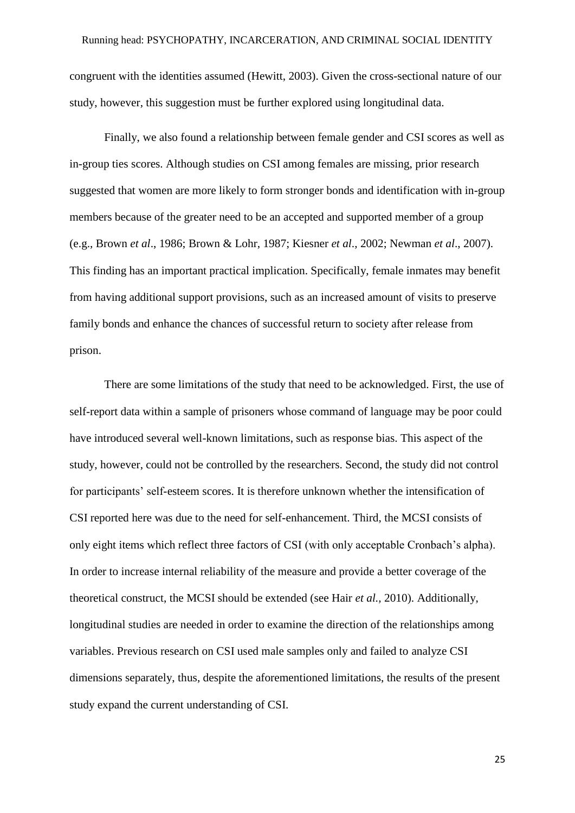congruent with the identities assumed (Hewitt, 2003). Given the cross-sectional nature of our study, however, this suggestion must be further explored using longitudinal data.

Finally, we also found a relationship between female gender and CSI scores as well as in-group ties scores. Although studies on CSI among females are missing, prior research suggested that women are more likely to form stronger bonds and identification with in-group members because of the greater need to be an accepted and supported member of a group (e.g., Brown *et al*., 1986; Brown & Lohr, 1987; Kiesner *et al*., 2002; Newman *et al*., 2007). This finding has an important practical implication. Specifically, female inmates may benefit from having additional support provisions, such as an increased amount of visits to preserve family bonds and enhance the chances of successful return to society after release from prison.

There are some limitations of the study that need to be acknowledged. First, the use of self-report data within a sample of prisoners whose command of language may be poor could have introduced several well-known limitations, such as response bias. This aspect of the study, however, could not be controlled by the researchers. Second, the study did not control for participants' self-esteem scores. It is therefore unknown whether the intensification of CSI reported here was due to the need for self-enhancement. Third, the MCSI consists of only eight items which reflect three factors of CSI (with only acceptable Cronbach's alpha). In order to increase internal reliability of the measure and provide a better coverage of the theoretical construct, the MCSI should be extended (see Hair *et al.,* 2010). Additionally, longitudinal studies are needed in order to examine the direction of the relationships among variables. Previous research on CSI used male samples only and failed to analyze CSI dimensions separately, thus, despite the aforementioned limitations, the results of the present study expand the current understanding of CSI.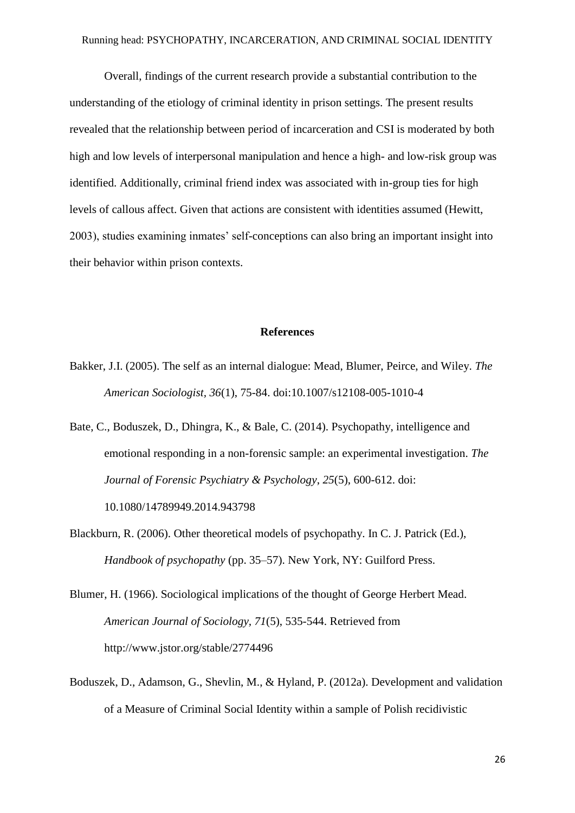Overall, findings of the current research provide a substantial contribution to the understanding of the etiology of criminal identity in prison settings. The present results revealed that the relationship between period of incarceration and CSI is moderated by both high and low levels of interpersonal manipulation and hence a high- and low-risk group was identified. Additionally, criminal friend index was associated with in-group ties for high levels of callous affect. Given that actions are consistent with identities assumed (Hewitt, 2003), studies examining inmates' self-conceptions can also bring an important insight into their behavior within prison contexts.

#### **References**

- Bakker, J.I. (2005). The self as an internal dialogue: Mead, Blumer, Peirce, and Wiley. *The American Sociologist, 36*(1), 75-84. doi:10.1007/s12108-005-1010-4
- Bate, C., Boduszek, D., Dhingra, K., & Bale, C. (2014). Psychopathy, intelligence and emotional responding in a non-forensic sample: an experimental investigation. *The Journal of Forensic Psychiatry & Psychology*, *25*(5), 600-612. doi: 10.1080/14789949.2014.943798
- Blackburn, R. (2006). Other theoretical models of psychopathy. In C. J. Patrick (Ed.), *Handbook of psychopathy* (pp. 35–57). New York, NY: Guilford Press.
- Blumer, H. (1966). Sociological implications of the thought of George Herbert Mead. *American Journal of Sociology, 71*(5), 535-544. Retrieved from http://www.jstor.org/stable/2774496
- Boduszek, D., Adamson, G., Shevlin, M., & Hyland, P. (2012a). Development and validation of a Measure of Criminal Social Identity within a sample of Polish recidivistic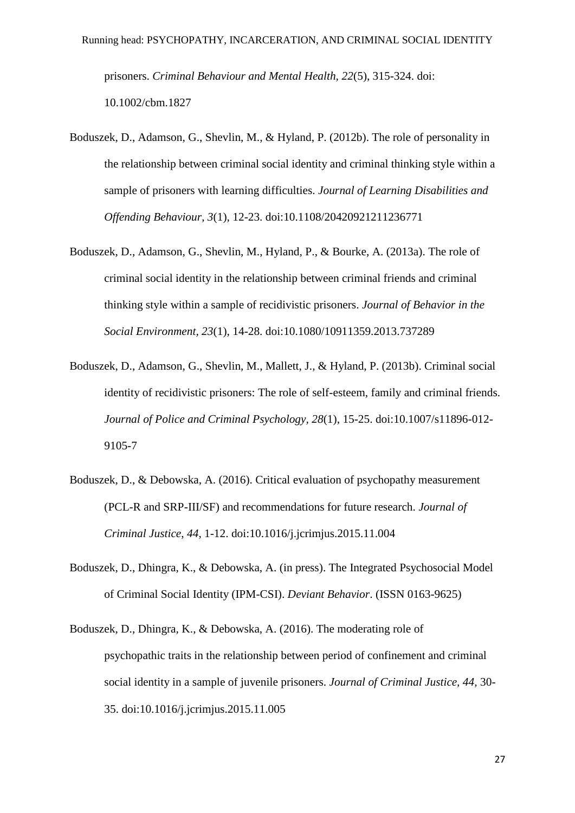prisoners. *Criminal Behaviour and Mental Health, 22*(5), 315-324. doi: 10.1002/cbm.1827

- Boduszek, D., Adamson, G., Shevlin, M., & Hyland, P. (2012b). The role of personality in the relationship between criminal social identity and criminal thinking style within a sample of prisoners with learning difficulties. *Journal of Learning Disabilities and Offending Behaviour*, *3*(1), 12-23. doi:10.1108/20420921211236771
- Boduszek, D., Adamson, G., Shevlin, M., Hyland, P., & Bourke, A. (2013a). The role of criminal social identity in the relationship between criminal friends and criminal thinking style within a sample of recidivistic prisoners. *Journal of Behavior in the Social Environment, 23*(1), 14-28. doi:10.1080/10911359.2013.737289
- Boduszek, D., Adamson, G., Shevlin, M., Mallett, J., & Hyland, P. (2013b). Criminal social identity of recidivistic prisoners: The role of self-esteem, family and criminal friends. *Journal of Police and Criminal Psychology, 28*(1), 15-25. doi:10.1007/s11896-012- 9105-7
- Boduszek, D., & Debowska, A. (2016). Critical evaluation of psychopathy measurement (PCL-R and SRP-III/SF) and recommendations for future research. *Journal of Criminal Justice*, *44*, 1-12. doi:10.1016/j.jcrimjus.2015.11.004
- Boduszek, D., Dhingra, K., & Debowska, A. (in press). The Integrated Psychosocial Model of Criminal Social Identity (IPM-CSI). *Deviant Behavior*. (ISSN 0163-9625)
- Boduszek, D., Dhingra, K., & Debowska, A. (2016). The moderating role of psychopathic traits in the relationship between period of confinement and criminal social identity in a sample of juvenile prisoners. *Journal of Criminal Justice, 44,* 30- 35. doi:10.1016/j.jcrimjus.2015.11.005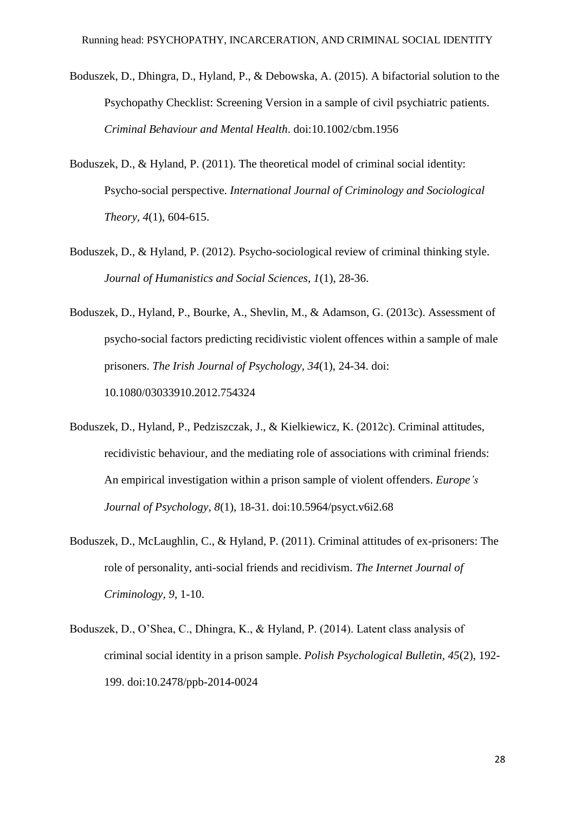- Boduszek, D., Dhingra, D., Hyland, P., & Debowska, A. (2015). A bifactorial solution to the Psychopathy Checklist: Screening Version in a sample of civil psychiatric patients. *Criminal Behaviour and Mental Health*. doi:10.1002/cbm.1956
- Boduszek, D., & Hyland, P. (2011). The theoretical model of criminal social identity: Psycho-social perspective. *International Journal of Criminology and Sociological Theory, 4*(1), 604-615.
- Boduszek, D., & Hyland, P. (2012). Psycho-sociological review of criminal thinking style. *Journal of Humanistics and Social Sciences, 1*(1), 28-36.
- Boduszek, D., Hyland, P., Bourke, A., Shevlin, M., & Adamson, G. (2013c). Assessment of psycho-social factors predicting recidivistic violent offences within a sample of male prisoners. *The Irish Journal of Psychology, 34*(1), 24-34. doi: 10.1080/03033910.2012.754324
- Boduszek, D., Hyland, P., Pedziszczak, J., & Kielkiewicz, K. (2012c). Criminal attitudes, recidivistic behaviour, and the mediating role of associations with criminal friends: An empirical investigation within a prison sample of violent offenders. *Europe's Journal of Psychology, 8*(1), 18-31. doi:10.5964/psyct.v6i2.68
- Boduszek, D., McLaughlin, C., & Hyland, P. (2011). Criminal attitudes of ex-prisoners: The role of personality, anti-social friends and recidivism. *The Internet Journal of Criminology, 9*, 1-10.
- Boduszek, D., O'Shea, C., Dhingra, K., & Hyland, P. (2014). Latent class analysis of criminal social identity in a prison sample. *Polish Psychological Bulletin, 45*(2), 192- 199. doi:10.2478/ppb-2014-0024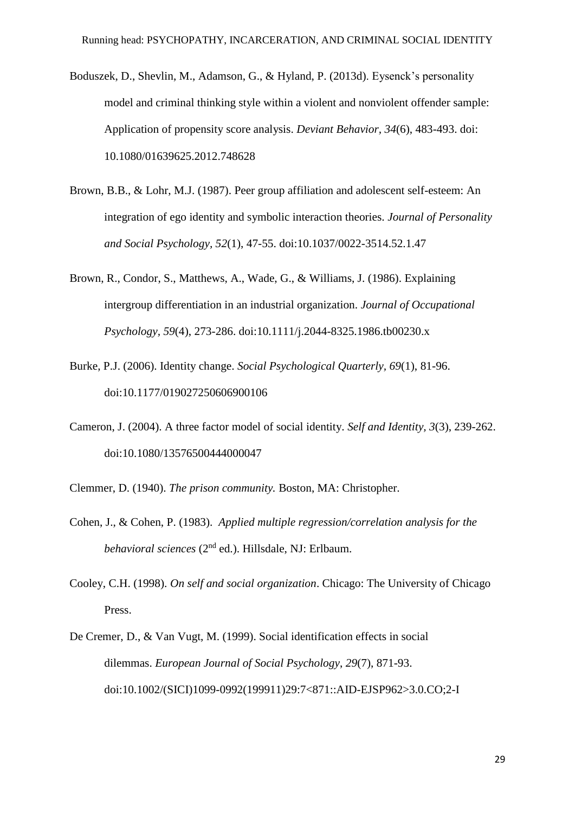- Boduszek, D., Shevlin, M., Adamson, G., & Hyland, P. (2013d). Eysenck's personality model and criminal thinking style within a violent and nonviolent offender sample: Application of propensity score analysis. *Deviant Behavior, 34*(6), 483-493. doi: 10.1080/01639625.2012.748628
- Brown, B.B., & Lohr, M.J. (1987). Peer group affiliation and adolescent self-esteem: An integration of ego identity and symbolic interaction theories. *Journal of Personality and Social Psychology, 52*(1), 47-55. doi:10.1037/0022-3514.52.1.47
- Brown, R., Condor, S., Matthews, A., Wade, G., & Williams, J. (1986). Explaining intergroup differentiation in an industrial organization. *Journal of Occupational Psychology, 59*(4), 273-286. doi:10.1111/j.2044-8325.1986.tb00230.x
- Burke, P.J. (2006). Identity change. *Social Psychological Quarterly, 69*(1), 81-96. doi:10.1177/019027250606900106
- Cameron, J. (2004). A three factor model of social identity. *Self and Identity, 3*(3), 239-262. doi:10.1080/13576500444000047
- Clemmer, D. (1940). *The prison community.* Boston, MA: Christopher.
- Cohen, J., & Cohen, P. (1983). *Applied multiple regression/correlation analysis for the behavioral sciences* (2nd ed.). Hillsdale, NJ: Erlbaum.
- Cooley, C.H. (1998). *On self and social organization*. Chicago: The University of Chicago Press.
- De Cremer, D., & Van Vugt, M. (1999). Social identification effects in social dilemmas. *European Journal of Social Psychology*, *29*(7), 871-93. doi:10.1002/(SICI)1099-0992(199911)29:7<871::AID-EJSP962>3.0.CO;2-I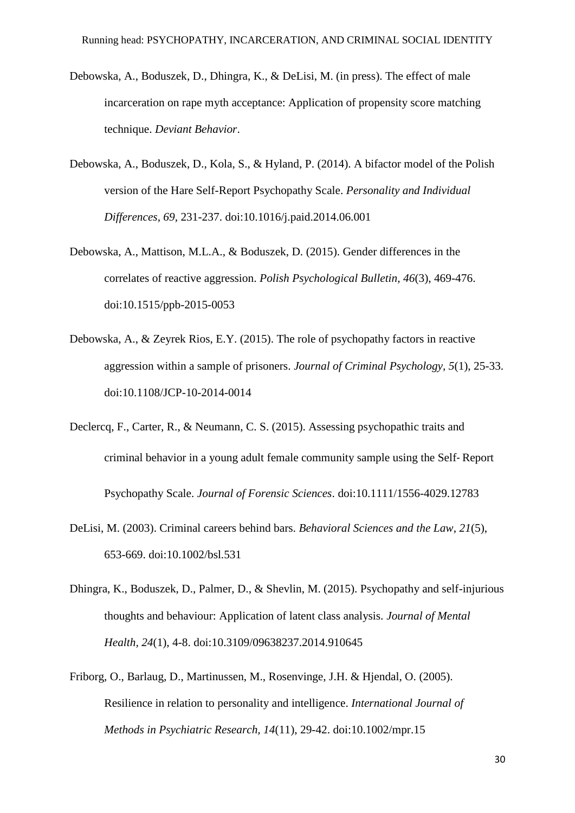- Debowska, A., Boduszek, D., Dhingra, K., & DeLisi, M. (in press). The effect of male incarceration on rape myth acceptance: Application of propensity score matching technique. *Deviant Behavior*.
- Debowska, A., Boduszek, D., Kola, S., & Hyland, P. (2014). A bifactor model of the Polish version of the Hare Self-Report Psychopathy Scale. *Personality and Individual Differences, 69*, 231-237. doi:10.1016/j.paid.2014.06.001
- Debowska, A., Mattison, M.L.A., & Boduszek, D. (2015). Gender differences in the correlates of reactive aggression. *Polish Psychological Bulletin, 46*(3), 469-476. doi:10.1515/ppb-2015-0053
- Debowska, A., & Zeyrek Rios, E.Y. (2015). The role of psychopathy factors in reactive aggression within a sample of prisoners. *Journal of Criminal Psychology, 5*(1), 25-33. doi:10.1108/JCP-10-2014-0014
- Declercq, F., Carter, R., & Neumann, C. S. (2015). Assessing psychopathic traits and criminal behavior in a young adult female community sample using the Self‐Report Psychopathy Scale. *Journal of Forensic Sciences*. doi:10.1111/1556-4029.12783
- DeLisi, M. (2003). Criminal careers behind bars. *Behavioral Sciences and the Law*, *21*(5), 653-669. doi:10.1002/bsl.531
- Dhingra, K., Boduszek, D., Palmer, D., & Shevlin, M. (2015). Psychopathy and self-injurious thoughts and behaviour: Application of latent class analysis. *Journal of Mental Health, 24*(1), 4-8. doi:10.3109/09638237.2014.910645
- Friborg, O., Barlaug, D., Martinussen, M., Rosenvinge, J.H. & Hjendal, O. (2005). Resilience in relation to personality and intelligence. *International Journal of Methods in Psychiatric Research, 14*(11), 29-42. doi:10.1002/mpr.15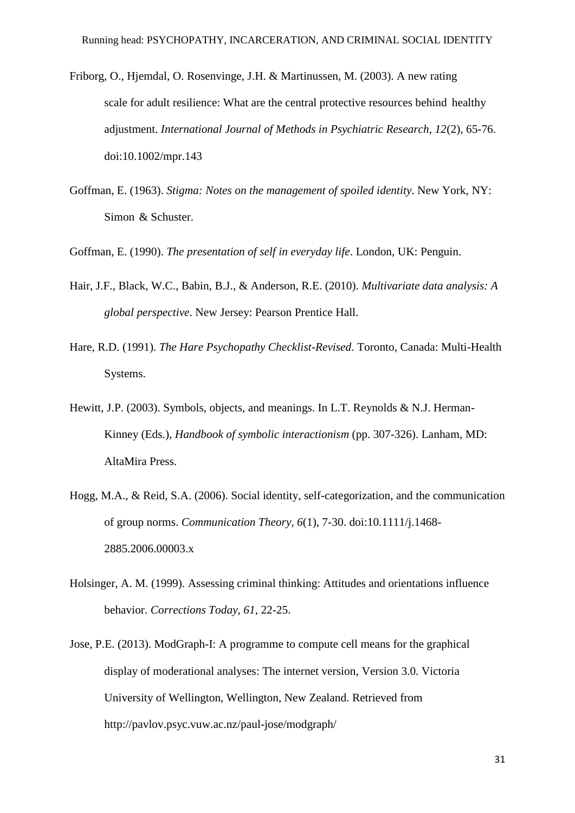- Friborg, O., Hjemdal, O. Rosenvinge, J.H. & Martinussen, M. (2003). A new rating scale for adult resilience: What are the central protective resources behind healthy adjustment. *International Journal of Methods in Psychiatric Research, 12*(2), 65-76. doi:10.1002/mpr.143
- Goffman, E. (1963). *Stigma: Notes on the management of spoiled identity*. New York, NY: Simon & Schuster.

Goffman, E. (1990). *The presentation of self in everyday life*. London, UK: Penguin.

- Hair, J.F., Black, W.C., Babin, B.J., & Anderson, R.E. (2010). *Multivariate data analysis: A global perspective*. New Jersey: Pearson Prentice Hall.
- Hare, R.D. (1991). *The Hare Psychopathy Checklist-Revised*. Toronto, Canada: Multi-Health Systems.
- Hewitt, J.P. (2003). Symbols, objects, and meanings. In L.T. Reynolds & N.J. Herman-Kinney (Eds.), *Handbook of symbolic interactionism* (pp. 307-326). Lanham, MD: AltaMira Press.
- Hogg, M.A., & Reid, S.A. (2006). Social identity, self-categorization, and the communication of group norms. *Communication Theory, 6*(1), 7-30. doi:10.1111/j.1468- 2885.2006.00003.x
- Holsinger, A. M. (1999). Assessing criminal thinking: Attitudes and orientations influence behavior. *Corrections Today, 61*, 22-25.
- Jose, P.E. (2013). ModGraph-I: A programme to compute cell means for the graphical display of moderational analyses: The internet version, Version 3.0. Victoria University of Wellington, Wellington, New Zealand. Retrieved from http://pavlov.psyc.vuw.ac.nz/paul-jose/modgraph/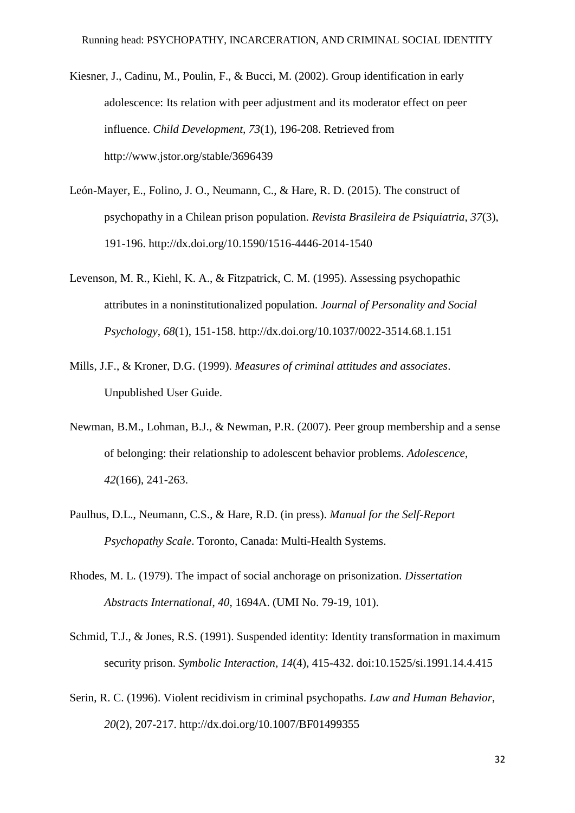- Kiesner, J., Cadinu, M., Poulin, F., & Bucci, M. (2002). Group identification in early adolescence: Its relation with peer adjustment and its moderator effect on peer influence. *Child Development, 73*(1)*,* 196-208. Retrieved from http://www.jstor.org/stable/3696439
- León-Mayer, E., Folino, J. O., Neumann, C., & Hare, R. D. (2015). The construct of psychopathy in a Chilean prison population. *Revista Brasileira de Psiquiatria*, *37*(3), 191-196. http://dx.doi.org/10.1590/1516-4446-2014-1540
- Levenson, M. R., Kiehl, K. A., & Fitzpatrick, C. M. (1995). Assessing psychopathic attributes in a noninstitutionalized population. *Journal of Personality and Social Psychology*, *68*(1), 151-158. http://dx.doi.org/10.1037/0022-3514.68.1.151
- Mills, J.F., & Kroner, D.G. (1999). *Measures of criminal attitudes and associates*. Unpublished User Guide.
- Newman, B.M., Lohman, B.J., & Newman, P.R. (2007). Peer group membership and a sense of belonging: their relationship to adolescent behavior problems. *Adolescence*, *42*(166), 241-263.
- Paulhus, D.L., Neumann, C.S., & Hare, R.D. (in press). *Manual for the Self-Report Psychopathy Scale*. Toronto, Canada: Multi-Health Systems.
- Rhodes, M. L. (1979). The impact of social anchorage on prisonization. *Dissertation Abstracts International*, *40*, 1694A. (UMI No. 79-19, 101).
- Schmid, T.J., & Jones, R.S. (1991). Suspended identity: Identity transformation in maximum security prison. *Symbolic Interaction, 14*(4), 415-432. doi:10.1525/si.1991.14.4.415
- Serin, R. C. (1996). Violent recidivism in criminal psychopaths. *Law and Human Behavior*, *20*(2), 207-217. http://dx.doi.org/10.1007/BF01499355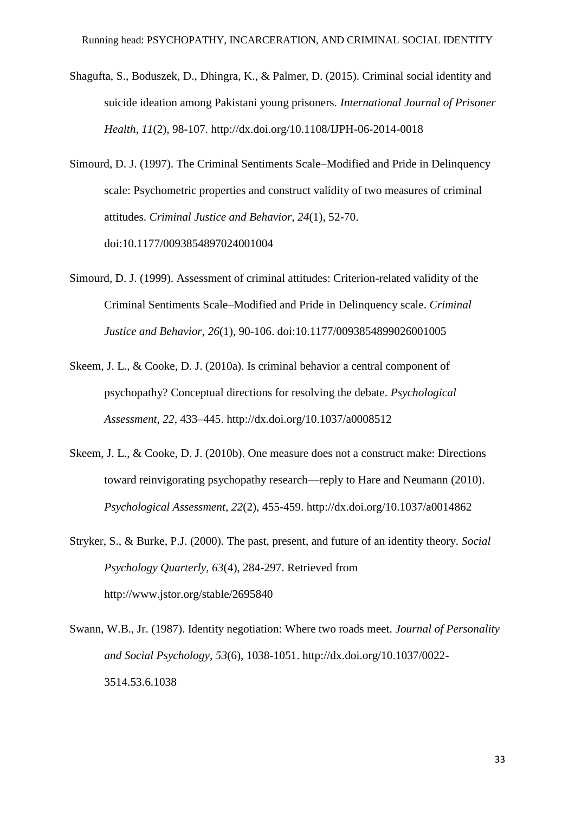- Shagufta, S., Boduszek, D., Dhingra, K., & Palmer, D. (2015). Criminal social identity and suicide ideation among Pakistani young prisoners. *International Journal of Prisoner Health, 11*(2), 98-107. http://dx.doi.org/10.1108/IJPH-06-2014-0018
- Simourd, D. J. (1997). The Criminal Sentiments Scale–Modified and Pride in Delinquency scale: Psychometric properties and construct validity of two measures of criminal attitudes. *Criminal Justice and Behavior*, *24*(1), 52-70. doi:10.1177/0093854897024001004
- Simourd, D. J. (1999). Assessment of criminal attitudes: Criterion-related validity of the Criminal Sentiments Scale–Modified and Pride in Delinquency scale. *Criminal Justice and Behavior*, *26*(1), 90-106. doi:10.1177/0093854899026001005
- Skeem, J. L., & Cooke, D. J. (2010a). Is criminal behavior a central component of psychopathy? Conceptual directions for resolving the debate. *Psychological Assessment, 22,* 433–445. http://dx.doi.org/10.1037/a0008512
- Skeem, J. L., & Cooke, D. J. (2010b). One measure does not a construct make: Directions toward reinvigorating psychopathy research—reply to Hare and Neumann (2010). *Psychological Assessment, 22*(2), 455-459. http://dx.doi.org/10.1037/a0014862
- Stryker, S., & Burke, P.J. (2000). The past, present, and future of an identity theory. *Social Psychology Quarterly, 63*(4), 284-297. Retrieved from http://www.jstor.org/stable/2695840
- Swann, W.B., Jr. (1987). Identity negotiation: Where two roads meet. *Journal of Personality and Social Psychology, 53*(6), 1038-1051. http://dx.doi.org/10.1037/0022- 3514.53.6.1038